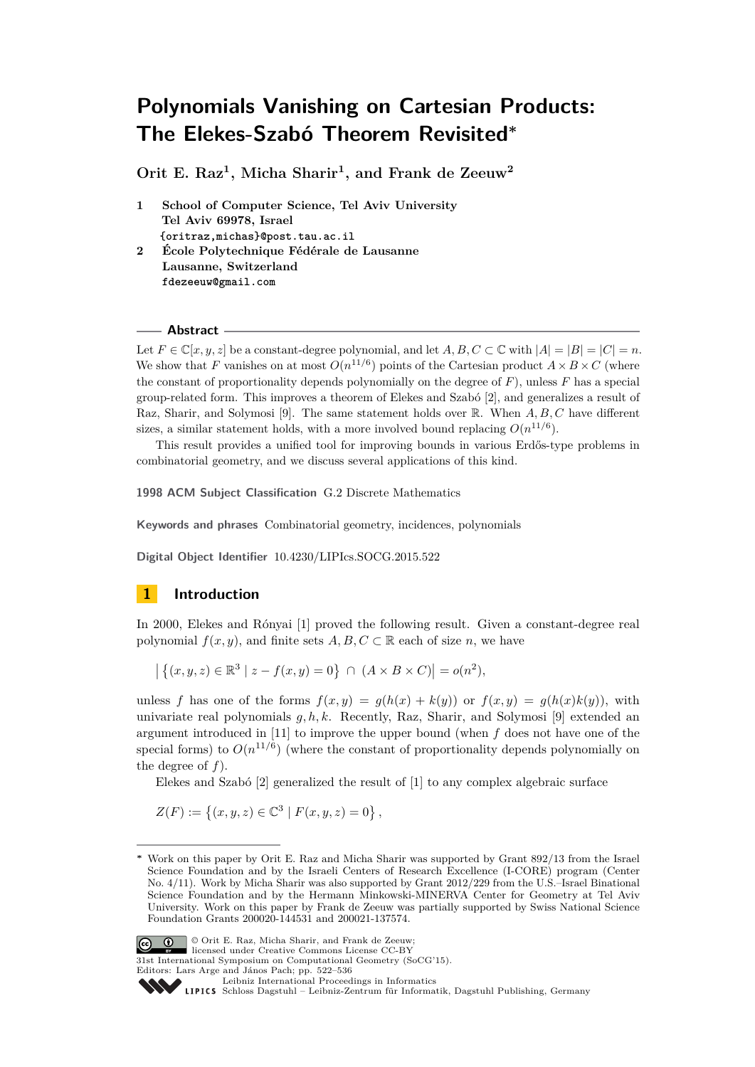**Orit E. Raz<sup>1</sup> , Micha Sharir<sup>1</sup> , and Frank de Zeeuw<sup>2</sup>**

- **1 School of Computer Science, Tel Aviv University Tel Aviv 69978, Israel {oritraz,michas}@post.tau.ac.il**
- **2 École Polytechnique Fédérale de Lausanne Lausanne, Switzerland fdezeeuw@gmail.com**

## **Abstract**

Let  $F \in \mathbb{C}[x, y, z]$  be a constant-degree polynomial, and let  $A, B, C \subset \mathbb{C}$  with  $|A| = |B| = |C| = n$ . We show that *F* vanishes on at most  $O(n^{11/6})$  points of the Cartesian product  $A \times B \times C$  (where the constant of proportionality depends polynomially on the degree of *F*), unless *F* has a special group-related form. This improves a theorem of Elekes and Szabó [\[2\]](#page-14-0), and generalizes a result of Raz, Sharir, and Solymosi [\[9\]](#page-14-1). The same statement holds over R. When *A, B, C* have different sizes, a similar statement holds, with a more involved bound replacing  $O(n^{11/6})$ .

This result provides a unified tool for improving bounds in various Erdős-type problems in combinatorial geometry, and we discuss several applications of this kind.

**1998 ACM Subject Classification** G.2 Discrete Mathematics

**Keywords and phrases** Combinatorial geometry, incidences, polynomials

**Digital Object Identifier** [10.4230/LIPIcs.SOCG.2015.522](http://dx.doi.org/10.4230/LIPIcs.SOCG.2015.522)

# **1 Introduction**

In 2000, Elekes and Rónyai [\[1\]](#page-14-2) proved the following result. Given a constant-degree real polynomial  $f(x, y)$ , and finite sets  $A, B, C \subset \mathbb{R}$  each of size *n*, we have

 $|\{(x, y, z) \in \mathbb{R}^3 \mid z - f(x, y) = 0\} \cap (A \times B \times C)| = o(n^2),$ 

unless *f* has one of the forms  $f(x, y) = q(h(x) + k(y))$  or  $f(x, y) = q(h(x)k(y))$ , with univariate real polynomials *g, h, k*. Recently, Raz, Sharir, and Solymosi [\[9\]](#page-14-1) extended an argument introduced in [\[11\]](#page-14-3) to improve the upper bound (when *f* does not have one of the special forms) to  $O(n^{11/6})$  (where the constant of proportionality depends polynomially on the degree of *f*).

Elekes and Szabó [\[2\]](#page-14-0) generalized the result of [\[1\]](#page-14-2) to any complex algebraic surface

 $Z(F) := \{(x, y, z) \in \mathbb{C}^3 \mid F(x, y, z) = 0\},\,$ 

**<sup>∗</sup>** Work on this paper by Orit E. Raz and Micha Sharir was supported by Grant 892/13 from the Israel Science Foundation and by the Israeli Centers of Research Excellence (I-CORE) program (Center No. 4/11). Work by Micha Sharir was also supported by Grant 2012/229 from the U.S.–Israel Binational Science Foundation and by the Hermann Minkowski-MINERVA Center for Geometry at Tel Aviv University. Work on this paper by Frank de Zeeuw was partially supported by Swiss National Science Foundation Grants 200020-144531 and 200021-137574.



© Orit E. Raz, Micha Sharir, and Frank de Zeeuw; licensed under Creative Commons License CC-BY

31st International Symposium on Computational Geometry (SoCG'15).

Leibniz international Froceedings in informatik, Dagstuhl Publishing, Germany<br>LIPICS [Schloss Dagstuhl – Leibniz-Zentrum für Informatik, Dagstuhl Publishing, Germany](http://www.dagstuhl.de)

Editors: Lars Arge and János Pach; pp. 522[–536](#page-14-4)

[Leibniz International Proceedings in Informatics](http://www.dagstuhl.de/lipics/)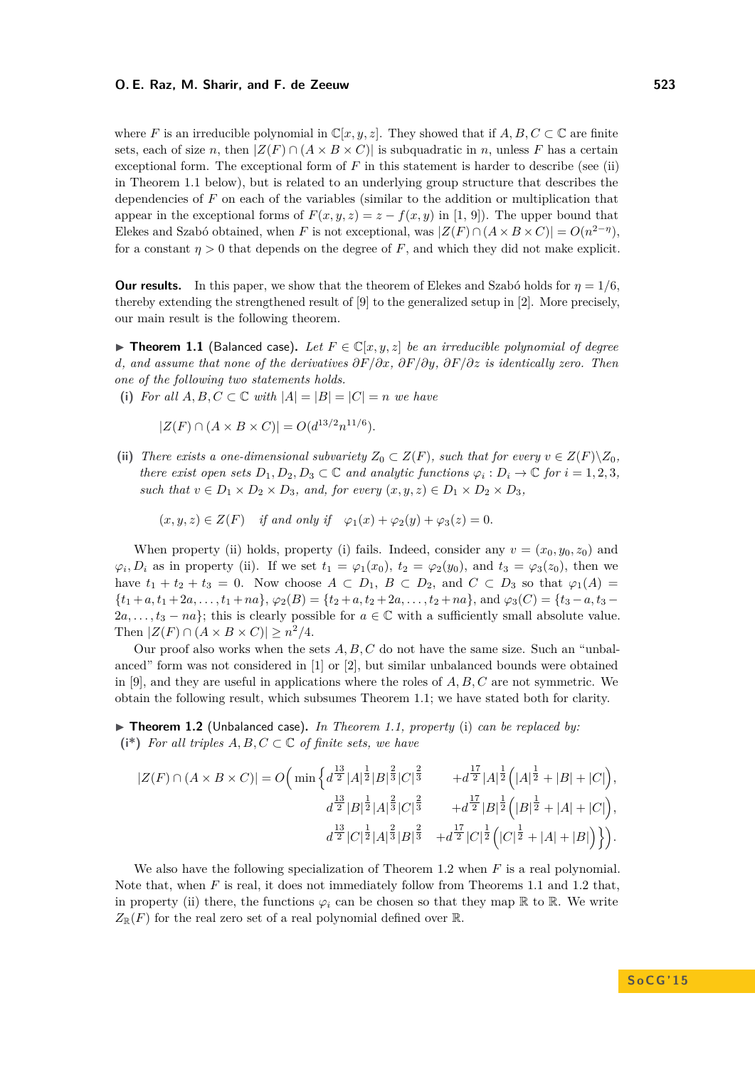where *F* is an irreducible polynomial in  $\mathbb{C}[x, y, z]$ . They showed that if  $A, B, C \subset \mathbb{C}$  are finite sets, each of size *n*, then  $|Z(F) \cap (A \times B \times C)|$  is subquadratic in *n*, unless *F* has a certain exceptional form. The exceptional form of  $F$  in this statement is harder to describe (see (ii)) in Theorem [1.1](#page-1-0) below), but is related to an underlying group structure that describes the dependencies of *F* on each of the variables (similar to the addition or multiplication that appear in the exceptional forms of  $F(x, y, z) = z - f(x, y)$  in [\[1,](#page-14-2) [9\]](#page-14-1)). The upper bound that Elekes and Szabó obtained, when *F* is not exceptional, was  $|Z(F) \cap (A \times B \times C)| = O(n^{2-\eta})$ , for a constant  $\eta > 0$  that depends on the degree of F, and which they did not make explicit.

**Our results.** In this paper, we show that the theorem of Elekes and Szabó holds for  $\eta = 1/6$ . thereby extending the strengthened result of [\[9\]](#page-14-1) to the generalized setup in [\[2\]](#page-14-0). More precisely, our main result is the following theorem.

<span id="page-1-0"></span>▶ **Theorem 1.1** (Balanced case). Let  $F \in \mathbb{C}[x, y, z]$  be an irreducible polynomial of degree *d, and assume that none of the derivatives ∂F/∂x, ∂F/∂y, ∂F/∂z is identically zero. Then one of the following two statements holds.*

(i) *For all*  $A, B, C \subset \mathbb{C}$  *with*  $|A| = |B| = |C| = n$  *we have* 

 $|Z(F) \cap (A \times B \times C)| = O(d^{13/2}n^{11/6}).$ 

(ii) *There exists a one-dimensional subvariety*  $Z_0 \subset Z(F)$ *, such that for every*  $v \in Z(F) \setminus Z_0$ *, there exist open sets*  $D_1, D_2, D_3 \subset \mathbb{C}$  *and analytic functions*  $\varphi_i : D_i \to \mathbb{C}$  *for*  $i = 1, 2, 3$ *, such that*  $v \in D_1 \times D_2 \times D_3$ *, and, for every*  $(x, y, z) \in D_1 \times D_2 \times D_3$ *,* 

 $(x, y, z) \in Z(F)$  *if and only if*  $\varphi_1(x) + \varphi_2(y) + \varphi_3(z) = 0$ .

When property (ii) holds, property (i) fails. Indeed, consider any  $v = (x_0, y_0, z_0)$  and  $\varphi_i, D_i$  as in property (ii). If we set  $t_1 = \varphi_1(x_0)$ ,  $t_2 = \varphi_2(y_0)$ , and  $t_3 = \varphi_3(z_0)$ , then we have  $t_1 + t_2 + t_3 = 0$ . Now choose  $A \subset D_1$ ,  $B \subset D_2$ , and  $C \subset D_3$  so that  $\varphi_1(A) =$  ${t_1 + a, t_1 + 2a, \ldots, t_1 + na}$ ,  $\varphi_2(B) = {t_2 + a, t_2 + 2a, \ldots, t_2 + na}$ , and  $\varphi_3(C) = {t_3 - a, t_3 - a}$  $2a, \ldots, t_3 - na$ ; this is clearly possible for  $a \in \mathbb{C}$  with a sufficiently small absolute value. Then  $|Z(F) \cap (A \times B \times C)| \geq n^2/4$ .

Our proof also works when the sets *A, B, C* do not have the same size. Such an "unbalanced" form was not considered in [\[1\]](#page-14-2) or [\[2\]](#page-14-0), but similar unbalanced bounds were obtained in [\[9\]](#page-14-1), and they are useful in applications where the roles of *A, B, C* are not symmetric. We obtain the following result, which subsumes Theorem [1.1;](#page-1-0) we have stated both for clarity.

<span id="page-1-1"></span>▶ Theorem 1.2 (Unbalanced case). *In Theorem [1.1,](#page-1-0) property* (i) *can be replaced by:* ( $i^*$ ) *For all triples*  $A, B, C \subset \mathbb{C}$  *of finite sets, we have* 

$$
|Z(F) \cap (A \times B \times C)| = O\left(\min\left\{d^{\frac{13}{2}}|A|^{\frac{1}{2}}|B|^{\frac{2}{3}}|C|^{\frac{2}{3}} \right. \right. \\ \left. + d^{\frac{17}{2}}|A|^{\frac{1}{2}}(A|^{\frac{1}{2}} + |B| + |C|\right), \\ \left. d^{\frac{13}{2}}|B|^{\frac{1}{2}}|A|^{\frac{2}{3}}|C|^{\frac{2}{3}} \right. \\ \left. + d^{\frac{17}{2}}|B|^{\frac{1}{2}}(B|^{\frac{1}{2}} + |A| + |C|\right), \\ \left. d^{\frac{13}{2}}|C|^{\frac{1}{2}}|A|^{\frac{2}{3}}|B|^{\frac{2}{3}} \right. \\ \left. + d^{\frac{17}{2}}|C|^{\frac{1}{2}}(B|^{\frac{1}{2}} + |A| + |B|\right)\right\}.
$$

We also have the following specialization of Theorem [1.2](#page-1-1) when *F* is a real polynomial. Note that, when *F* is real, it does not immediately follow from Theorems [1.1](#page-1-0) and [1.2](#page-1-1) that, in property (ii) there, the functions  $\varphi_i$  can be chosen so that they map R to R. We write  $Z_{\mathbb{R}}(F)$  for the real zero set of a real polynomial defined over  $\mathbb{R}$ .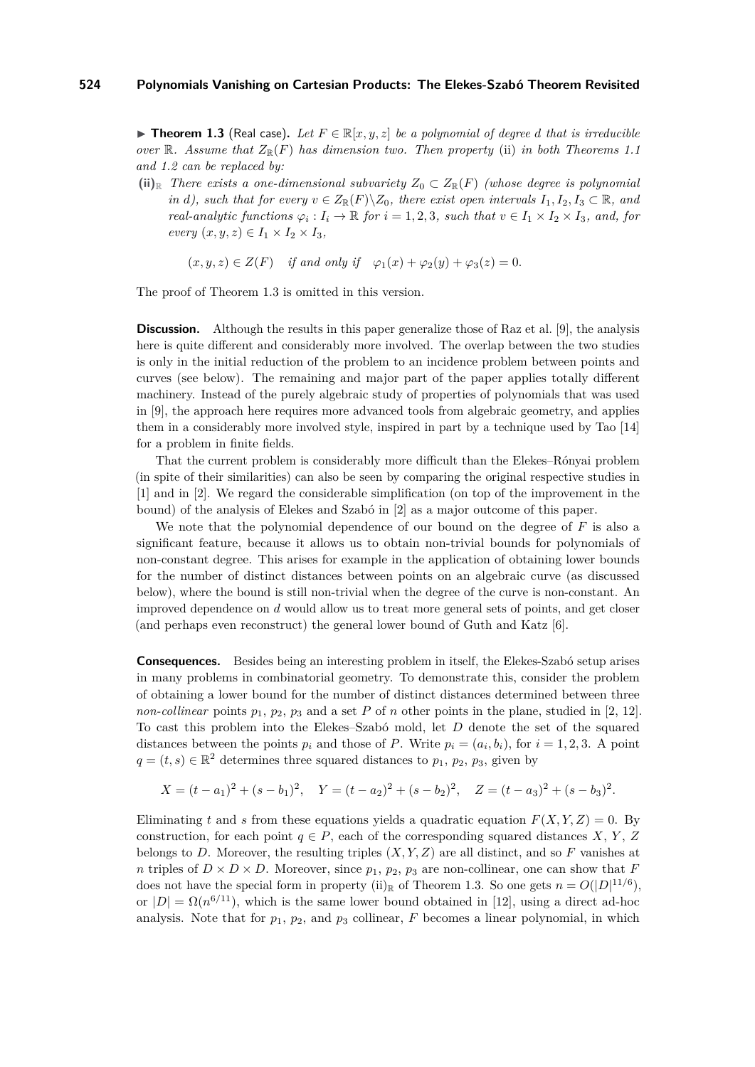<span id="page-2-0"></span>▶ **Theorem 1.3** (Real case). Let  $F \in \mathbb{R}[x, y, z]$  be a polynomial of degree *d* that is irreducible *over*  $\mathbb{R}$ *. Assume that*  $Z_{\mathbb{R}}(F)$  *has dimension two. Then property* (ii) *in both Theorems* [1.1](#page-1-0) *and [1.2](#page-1-1) can be replaced by:*

 $(iii)$ <sub>R</sub> *There exists a one-dimensional subvariety*  $Z_0 \subset Z_{\mathbb{R}}(F)$  *(whose degree is polynomial in d), such that for every*  $v \in Z_{\mathbb{R}}(F) \setminus Z_0$ *, there exist open intervals*  $I_1, I_2, I_3 \subset \mathbb{R}$ *, and real-analytic functions*  $\varphi_i : I_i \to \mathbb{R}$  *for*  $i = 1, 2, 3$ *, such that*  $v \in I_1 \times I_2 \times I_3$ *, and, for*  $every (x, y, z) \in I_1 \times I_2 \times I_3,$ 

$$
(x, y, z) \in Z(F)
$$
 if and only if  $\varphi_1(x) + \varphi_2(y) + \varphi_3(z) = 0$ .

The proof of Theorem [1.3](#page-2-0) is omitted in this version.

**Discussion.** Although the results in this paper generalize those of Raz et al. [\[9\]](#page-14-1), the analysis here is quite different and considerably more involved. The overlap between the two studies is only in the initial reduction of the problem to an incidence problem between points and curves (see below). The remaining and major part of the paper applies totally different machinery. Instead of the purely algebraic study of properties of polynomials that was used in [\[9\]](#page-14-1), the approach here requires more advanced tools from algebraic geometry, and applies them in a considerably more involved style, inspired in part by a technique used by Tao [\[14\]](#page-14-5) for a problem in finite fields.

That the current problem is considerably more difficult than the Elekes–Rónyai problem (in spite of their similarities) can also be seen by comparing the original respective studies in [\[1\]](#page-14-2) and in [\[2\]](#page-14-0). We regard the considerable simplification (on top of the improvement in the bound) of the analysis of Elekes and Szabó in [\[2\]](#page-14-0) as a major outcome of this paper.

We note that the polynomial dependence of our bound on the degree of *F* is also a significant feature, because it allows us to obtain non-trivial bounds for polynomials of non-constant degree. This arises for example in the application of obtaining lower bounds for the number of distinct distances between points on an algebraic curve (as discussed below), where the bound is still non-trivial when the degree of the curve is non-constant. An improved dependence on *d* would allow us to treat more general sets of points, and get closer (and perhaps even reconstruct) the general lower bound of Guth and Katz [\[6\]](#page-14-6).

**Consequences.** Besides being an interesting problem in itself, the Elekes-Szabó setup arises in many problems in combinatorial geometry. To demonstrate this, consider the problem of obtaining a lower bound for the number of distinct distances determined between three *non-collinear* points  $p_1$ ,  $p_2$ ,  $p_3$  and a set *P* of *n* other points in the plane, studied in [\[2,](#page-14-0) [12\]](#page-14-7). To cast this problem into the Elekes–Szabó mold, let *D* denote the set of the squared distances between the points  $p_i$  and those of *P*. Write  $p_i = (a_i, b_i)$ , for  $i = 1, 2, 3$ . A point  $q = (t, s) \in \mathbb{R}^2$  determines three squared distances to  $p_1, p_2, p_3$ , given by

$$
X = (t - a_1)^2 + (s - b_1)^2, \quad Y = (t - a_2)^2 + (s - b_2)^2, \quad Z = (t - a_3)^2 + (s - b_3)^2.
$$

Eliminating *t* and *s* from these equations yields a quadratic equation  $F(X, Y, Z) = 0$ . By construction, for each point  $q \in P$ , each of the corresponding squared distances *X*, *Y*, *Z* belongs to *D*. Moreover, the resulting triples  $(X, Y, Z)$  are all distinct, and so *F* vanishes at *n* triples of  $D \times D \times D$ . Moreover, since  $p_1$ ,  $p_2$ ,  $p_3$  are non-collinear, one can show that *F* does not have the special form in property (ii)<sub>R</sub> of Theorem [1.3.](#page-2-0) So one gets  $n = O(|D|^{11/6})$ , or  $|D| = \Omega(n^{6/11})$ , which is the same lower bound obtained in [\[12\]](#page-14-7), using a direct ad-hoc analysis. Note that for  $p_1$ ,  $p_2$ , and  $p_3$  collinear,  $F$  becomes a linear polynomial, in which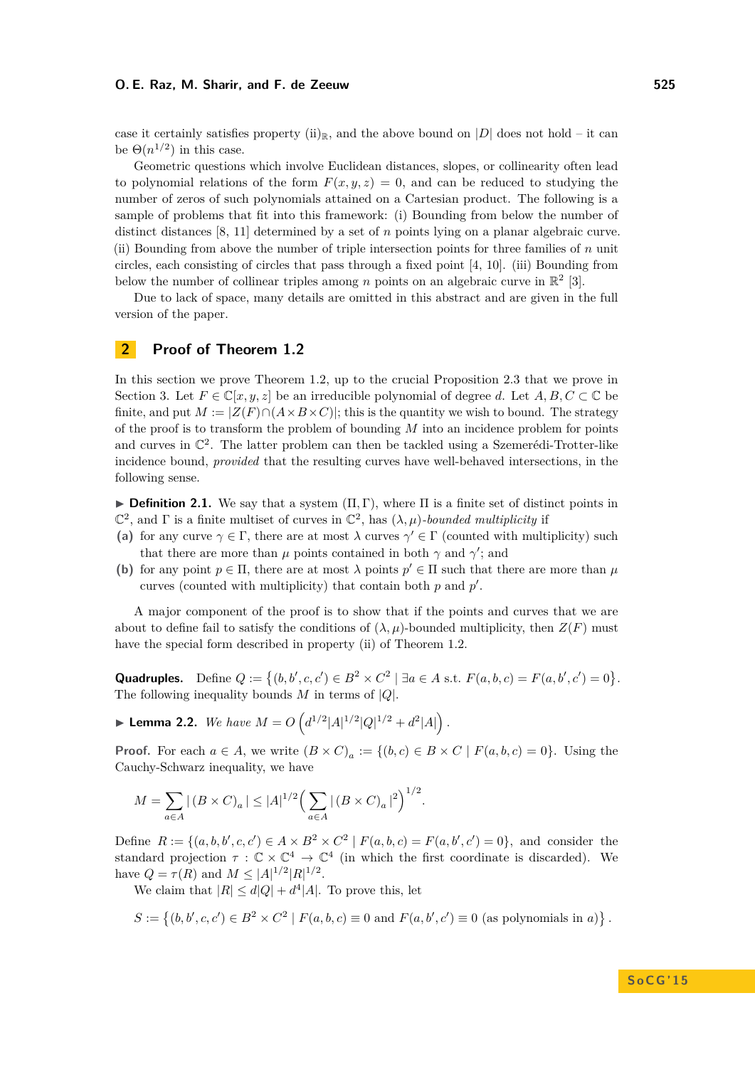case it certainly satisfies property (ii)<sub>R</sub>, and the above bound on |*D*| does not hold – it can be  $\Theta(n^{1/2})$  in this case.

Geometric questions which involve Euclidean distances, slopes, or collinearity often lead to polynomial relations of the form  $F(x, y, z) = 0$ , and can be reduced to studying the number of zeros of such polynomials attained on a Cartesian product. The following is a sample of problems that fit into this framework: (i) Bounding from below the number of distinct distances [\[8,](#page-14-8) [11\]](#page-14-3) determined by a set of *n* points lying on a planar algebraic curve. (ii) Bounding from above the number of triple intersection points for three families of *n* unit circles, each consisting of circles that pass through a fixed point [\[4,](#page-14-9) [10\]](#page-14-10). (iii) Bounding from below the number of collinear triples among *n* points on an algebraic curve in  $\mathbb{R}^2$  [\[3\]](#page-14-11).

Due to lack of space, many details are omitted in this abstract and are given in the full version of the paper.

## <span id="page-3-2"></span>**2 Proof of Theorem [1.2](#page-1-1)**

In this section we prove Theorem [1.2,](#page-1-1) up to the crucial Proposition [2.3](#page-4-0) that we prove in Section [3.](#page-5-0) Let  $F \in \mathbb{C}[x, y, z]$  be an irreducible polynomial of degree *d*. Let  $A, B, C \subset \mathbb{C}$  be finite, and put  $M := |Z(F) \cap (A \times B \times C)|$ ; this is the quantity we wish to bound. The strategy of the proof is to transform the problem of bounding *M* into an incidence problem for points and curves in  $\mathbb{C}^2$ . The latter problem can then be tackled using a Szemerédi-Trotter-like incidence bound, *provided* that the resulting curves have well-behaved intersections, in the following sense.

<span id="page-3-0"></span>**Definition 2.1.** We say that a system  $(\Pi, \Gamma)$ , where  $\Pi$  is a finite set of distinct points in  $\mathbb{C}^2$ , and  $\Gamma$  is a finite multiset of curves in  $\mathbb{C}^2$ , has  $(\lambda, \mu)$ *-bounded multiplicity* if

- (a) for any curve  $\gamma \in \Gamma$ , there are at most  $\lambda$  curves  $\gamma' \in \Gamma$  (counted with multiplicity) such that there are more than  $\mu$  points contained in both  $\gamma$  and  $\gamma'$ ; and
- **(b)** for any point  $p \in \Pi$ , there are at most  $\lambda$  points  $p' \in \Pi$  such that there are more than  $\mu$ curves (counted with multiplicity) that contain both  $p$  and  $p'$ .

A major component of the proof is to show that if the points and curves that we are about to define fail to satisfy the conditions of  $(\lambda, \mu)$ -bounded multiplicity, then  $Z(F)$  must have the special form described in property (ii) of Theorem [1.2.](#page-1-1)

**Quadruples.** Define  $Q := \{(b, b', c, c') \in B^2 \times C^2 \mid \exists a \in A \text{ s.t. } F(a, b, c) = F(a, b', c') = 0\}.$ The following inequality bounds  $M$  in terms of  $|Q|$ .

<span id="page-3-1"></span>**Example 1.2.** *We have*  $M = O\left(d^{1/2}|A|^{1/2}|Q|^{1/2} + d^2|A|\right)$ .

**Proof.** For each  $a \in A$ , we write  $(B \times C)_a := \{(b, c) \in B \times C \mid F(a, b, c) = 0\}$ . Using the Cauchy-Schwarz inequality, we have

$$
M = \sum_{a \in A} |(B \times C)_a| \le |A|^{1/2} \left(\sum_{a \in A} |(B \times C)_a|^2\right)^{1/2}.
$$

Define  $R := \{(a, b, b', c, c') \in A \times B^2 \times C^2 \mid F(a, b, c) = F(a, b', c') = 0\}$ , and consider the standard projection  $\tau : \mathbb{C} \times \mathbb{C}^4 \to \mathbb{C}^4$  (in which the first coordinate is discarded). We have  $Q = \tau(R)$  and  $M \leq |A|^{1/2} |R|^{1/2}$ .

We claim that  $|R| \leq d|Q| + d^4|A|$ . To prove this, let

$$
S := \{ (b, b', c, c') \in B^2 \times C^2 \mid F(a, b, c) \equiv 0 \text{ and } F(a, b', c') \equiv 0 \text{ (as polynomials in } a) \}.
$$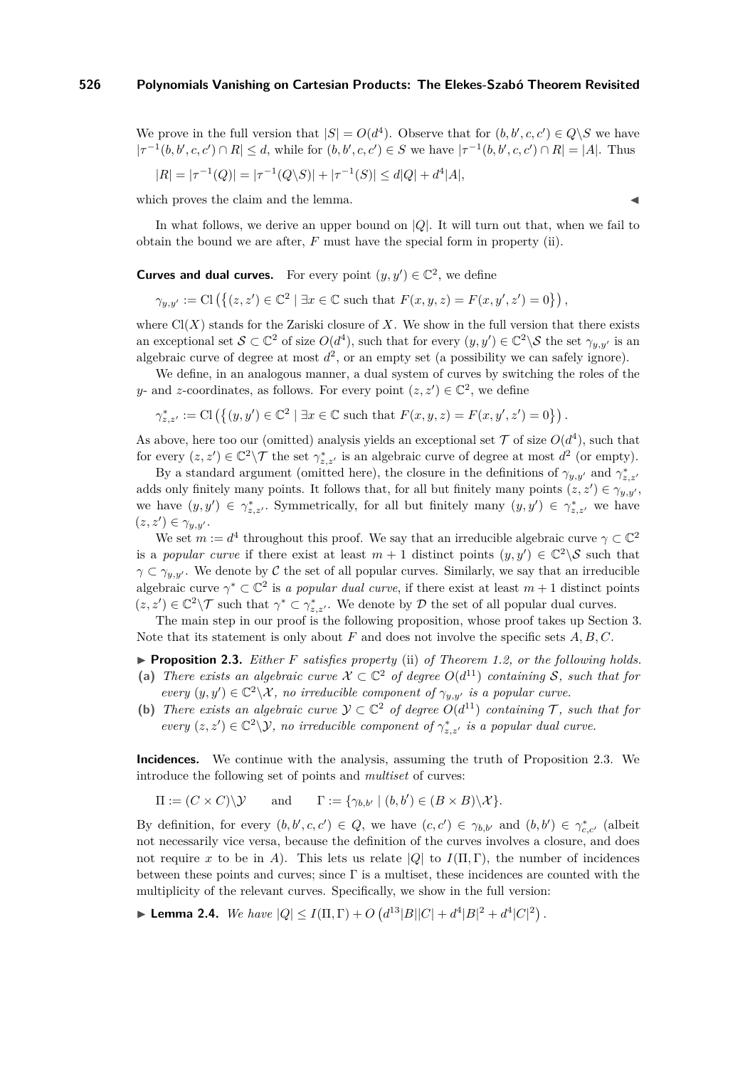We prove in the full version that  $|S| = O(d^4)$ . Observe that for  $(b, b', c, c') \in Q \backslash S$  we have  $|\tau^{-1}(b, b', c, c') \cap R| \leq d$ , while for  $(b, b', c, c') \in S$  we have  $|\tau^{-1}(b, b', c, c') \cap R| = |A|$ . Thus

$$
|R| = |\tau^{-1}(Q)| = |\tau^{-1}(Q \setminus S)| + |\tau^{-1}(S)| \le d|Q| + d^4|A|,
$$

which proves the claim and the lemma.

In what follows, we derive an upper bound on |*Q*|. It will turn out that, when we fail to obtain the bound we are after, *F* must have the special form in property (ii).

**Curves and dual curves.** For every point  $(y, y') \in \mathbb{C}^2$ , we define

 $\gamma_{y,y'} := \text{Cl}(\{(z, z') \in \mathbb{C}^2 \mid \exists x \in \mathbb{C} \text{ such that } F(x, y, z) = F(x, y', z') = 0\}),$ 

where  $Cl(X)$  stands for the Zariski closure of X. We show in the full version that there exists an exceptional set  $S \subset \mathbb{C}^2$  of size  $O(d^4)$ , such that for every  $(y, y') \in \mathbb{C}^2 \backslash S$  the set  $\gamma_{y,y'}$  is an algebraic curve of degree at most  $d^2$ , or an empty set (a possibility we can safely ignore).

We define, in an analogous manner, a dual system of curves by switching the roles of the *y*- and *z*-coordinates, as follows. For every point  $(z, z') \in \mathbb{C}^2$ , we define

 $\gamma_{z,z'}^* := \text{Cl}(\{(y,y') \in \mathbb{C}^2 \mid \exists x \in \mathbb{C} \text{ such that } F(x,y,z) = F(x,y',z') = 0\})$ .

As above, here too our (omitted) analysis yields an exceptional set  $\mathcal T$  of size  $O(d^4)$ , such that for every  $(z, z') \in \mathbb{C}^2 \backslash \mathcal{T}$  the set  $\gamma_{z, z'}^*$  is an algebraic curve of degree at most  $d^2$  (or empty).

By a standard argument (omitted here), the closure in the definitions of  $\gamma_{y,y'}$  and  $\gamma_{z,z'}^*$ adds only finitely many points. It follows that, for all but finitely many points  $(z, z') \in \gamma_{y,y'}$ , we have  $(y, y') \in \gamma_{z, z'}^*$ . Symmetrically, for all but finitely many  $(y, y') \in \gamma_{z, z'}^*$  we have  $(z, z') \in \gamma_{y, y'}.$ 

We set  $m := d^4$  throughout this proof. We say that an irreducible algebraic curve  $\gamma \subset \mathbb{C}^2$ is a *popular curve* if there exist at least  $m + 1$  distinct points  $(y, y') \in \mathbb{C}^2 \backslash \mathcal{S}$  such that  $\gamma \subset \gamma_{y,y'}$ . We denote by C the set of all popular curves. Similarly, we say that an irreducible algebraic curve  $\gamma^* \subset \mathbb{C}^2$  is *a popular dual curve*, if there exist at least  $m+1$  distinct points  $(z, z') \in \mathbb{C}^2 \backslash \mathcal{T}$  such that  $\gamma^* \subset \gamma^*_{z, z'}$ . We denote by  $\mathcal{D}$  the set of all popular dual curves.

The main step in our proof is the following proposition, whose proof takes up Section [3.](#page-5-0) Note that its statement is only about *F* and does not involve the specific sets *A, B, C*.

<span id="page-4-0"></span>I **Proposition 2.3.** *Either F satisfies property* (ii) *of Theorem [1.2,](#page-1-1) or the following holds.* (a) *There exists an algebraic curve*  $X \subset \mathbb{C}^2$  *of degree*  $O(d^{11})$  *containing* S, such that for

- *every*  $(y, y') \in \mathbb{C}^2 \backslash \mathcal{X}$ , no irreducible component of  $\gamma_{y,y'}$  is a popular curve.
- **(b)** *There exists an algebraic curve*  $\mathcal{Y} \subset \mathbb{C}^2$  *of degree*  $O(d^{11})$  *containing*  $\mathcal{T}$ *, such that for every*  $(z, z') \in \mathbb{C}^2 \backslash \mathcal{Y}$ , no irreducible component of  $\gamma_{z, z'}^*$  is a popular dual curve.

**Incidences.** We continue with the analysis, assuming the truth of Proposition [2.3.](#page-4-0) We introduce the following set of points and *multiset* of curves:

$$
\Pi := (C \times C) \setminus \mathcal{Y} \quad \text{and} \quad \Gamma := \{ \gamma_{b,b'} \mid (b,b') \in (B \times B) \setminus \mathcal{X} \}.
$$

By definition, for every  $(b, b', c, c') \in Q$ , we have  $(c, c') \in \gamma_{b, b'}$  and  $(b, b') \in \gamma_{c, c'}^*$  (albeit not necessarily vice versa, because the definition of the curves involves a closure, and does not require *x* to be in *A*). This lets us relate  $|Q|$  to  $I(\Pi, \Gamma)$ , the number of incidences between these points and curves; since  $\Gamma$  is a multiset, these incidences are counted with the multiplicity of the relevant curves. Specifically, we show in the full version:

<span id="page-4-1"></span>**Example 1.4.** *We have*  $|Q| \leq I(\Pi, \Gamma) + O\left(d^{13}|B||C| + d^4|B|^2 + d^4|C|^2\right)$ .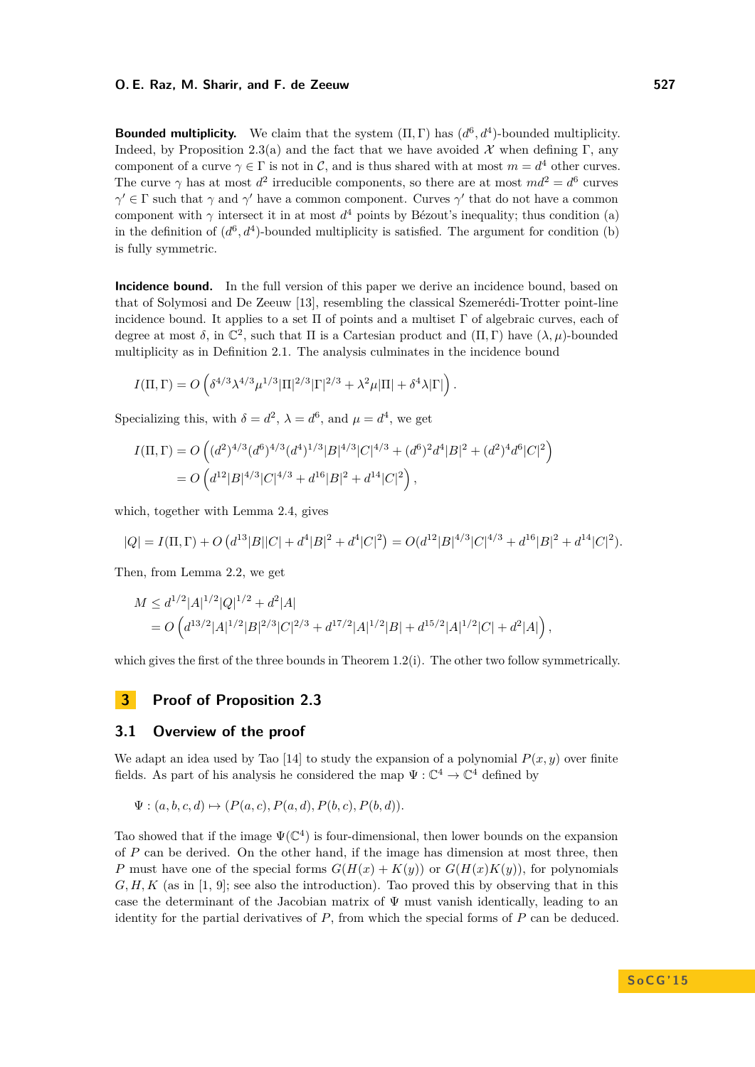**Bounded multiplicity.** We claim that the system  $(\Pi, \Gamma)$  has  $(d^6, d^4)$ -bounded multiplicity. Indeed, by Proposition [2.3\(](#page-4-0)a) and the fact that we have avoided  $\mathcal X$  when defining Γ, any component of a curve  $\gamma \in \Gamma$  is not in C, and is thus shared with at most  $m = d^4$  other curves. The curve  $\gamma$  has at most  $d^2$  irreducible components, so there are at most  $md^2 = d^6$  curves  $\gamma' \in \Gamma$  such that  $\gamma$  and  $\gamma'$  have a common component. Curves  $\gamma'$  that do not have a common component with  $\gamma$  intersect it in at most  $d^4$  points by Bézout's inequality; thus condition (a) in the definition of  $(d^6, d^4)$ -bounded multiplicity is satisfied. The argument for condition (b) is fully symmetric.

**Incidence bound.** In the full version of this paper we derive an incidence bound, based on that of Solymosi and De Zeeuw [\[13\]](#page-14-12), resembling the classical Szemerédi-Trotter point-line incidence bound. It applies to a set  $\Pi$  of points and a multiset  $\Gamma$  of algebraic curves, each of degree at most  $\delta$ , in  $\mathbb{C}^2$ , such that  $\Pi$  is a Cartesian product and  $(\Pi, \Gamma)$  have  $(\lambda, \mu)$ -bounded multiplicity as in Definition [2.1.](#page-3-0) The analysis culminates in the incidence bound

$$
I(\Pi,\Gamma)=O\left(\delta^{4/3}\lambda^{4/3}\mu^{1/3}|\Pi|^{2/3}|\Gamma|^{2/3}+\lambda^2\mu|\Pi|+\delta^4\lambda|\Gamma|\right).
$$

Specializing this, with  $\delta = d^2$ ,  $\lambda = d^6$ , and  $\mu = d^4$ , we get

$$
I(\Pi, \Gamma) = O\left((d^2)^{4/3} (d^6)^{4/3} (d^4)^{1/3} |B|^{4/3} |C|^{4/3} + (d^6)^2 d^4 |B|^2 + (d^2)^4 d^6 |C|^2\right)
$$
  
= 
$$
O\left(d^{12} |B|^{4/3} |C|^{4/3} + d^{16} |B|^2 + d^{14} |C|^2\right),
$$

which, together with Lemma [2.4,](#page-4-1) gives

$$
|Q| = I(\Pi, \Gamma) + O\left(d^{13}|B||C| + d^4|B|^2 + d^4|C|^2\right) = O(d^{12}|B|^{4/3}|C|^{4/3} + d^{16}|B|^2 + d^{14}|C|^2).
$$

Then, from Lemma [2.2,](#page-3-1) we get

$$
M \le d^{1/2} |A|^{1/2} |Q|^{1/2} + d^2 |A|
$$
  
=  $O\left(d^{13/2} |A|^{1/2} |B|^{2/3} |C|^{2/3} + d^{17/2} |A|^{1/2} |B| + d^{15/2} |A|^{1/2} |C| + d^2 |A|\right),$ 

which gives the first of the three bounds in Theorem [1.2\(](#page-1-1)i). The other two follow symmetrically.

## <span id="page-5-0"></span>**3 Proof of Proposition [2.3](#page-4-0)**

## <span id="page-5-1"></span>**3.1 Overview of the proof**

We adapt an idea used by Tao [\[14\]](#page-14-5) to study the expansion of a polynomial  $P(x, y)$  over finite fields. As part of his analysis he considered the map  $\Psi : \mathbb{C}^4 \to \mathbb{C}^4$  defined by

$$
\Psi : (a, b, c, d) \mapsto (P(a, c), P(a, d), P(b, c), P(b, d)).
$$

Tao showed that if the image  $\Psi(\mathbb{C}^4)$  is four-dimensional, then lower bounds on the expansion of *P* can be derived. On the other hand, if the image has dimension at most three, then *P* must have one of the special forms  $G(H(x) + K(y))$  or  $G(H(x)K(y))$ , for polynomials *G, H, K* (as in [\[1,](#page-14-2) [9\]](#page-14-1); see also the introduction). Tao proved this by observing that in this case the determinant of the Jacobian matrix of  $\Psi$  must vanish identically, leading to an identity for the partial derivatives of  $P$ , from which the special forms of  $P$  can be deduced.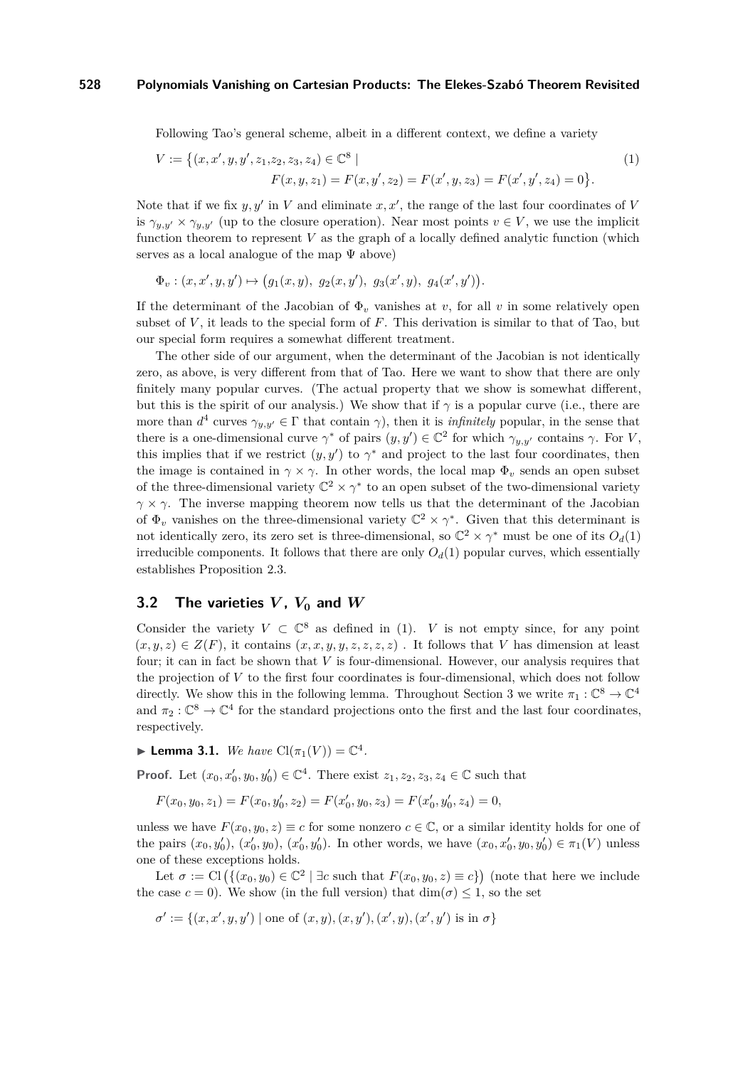Following Tao's general scheme, albeit in a different context, we define a variety

<span id="page-6-0"></span>
$$
V := \{(x, x', y, y', z_1, z_2, z_3, z_4) \in \mathbb{C}^8 \mid
$$
  

$$
F(x, y, z_1) = F(x, y', z_2) = F(x', y, z_3) = F(x', y', z_4) = 0\}.
$$

$$
(1)
$$

Note that if we fix  $y, y'$  in *V* and eliminate  $x, x'$ , the range of the last four coordinates of *V* is  $\gamma_{y,y'} \times \gamma_{y,y'}$  (up to the closure operation). Near most points  $v \in V$ , we use the implicit function theorem to represent *V* as the graph of a locally defined analytic function (which serves as a local analogue of the map  $\Psi$  above)

$$
\Phi_v : (x, x', y, y') \mapsto (g_1(x, y), g_2(x, y'), g_3(x', y), g_4(x', y')).
$$

If the determinant of the Jacobian of  $\Phi_v$  vanishes at *v*, for all *v* in some relatively open subset of *V* , it leads to the special form of *F*. This derivation is similar to that of Tao, but our special form requires a somewhat different treatment.

The other side of our argument, when the determinant of the Jacobian is not identically zero, as above, is very different from that of Tao. Here we want to show that there are only finitely many popular curves. (The actual property that we show is somewhat different, but this is the spirit of our analysis.) We show that if  $\gamma$  is a popular curve (i.e., there are more than  $d^4$  curves  $\gamma_{y,y'} \in \Gamma$  that contain  $\gamma$ ), then it is *infinitely* popular, in the sense that there is a one-dimensional curve  $\gamma^*$  of pairs  $(y, y') \in \mathbb{C}^2$  for which  $\gamma_{y, y'}$  contains  $\gamma$ . For *V*, this implies that if we restrict  $(y, y')$  to  $\gamma^*$  and project to the last four coordinates, then the image is contained in  $\gamma \times \gamma$ . In other words, the local map  $\Phi_v$  sends an open subset of the three-dimensional variety  $\mathbb{C}^2 \times \gamma^*$  to an open subset of the two-dimensional variety *γ*  $\times$  *γ*. The inverse mapping theorem now tells us that the determinant of the Jacobian of  $\Phi_v$  vanishes on the three-dimensional variety  $\mathbb{C}^2 \times \gamma^*$ . Given that this determinant is not identically zero, its zero set is three-dimensional, so  $\mathbb{C}^2 \times \gamma^*$  must be one of its  $O_d(1)$ irreducible components. It follows that there are only  $O_d(1)$  popular curves, which essentially establishes Proposition [2.3.](#page-4-0)

## **3.2** The varieties  $V$ ,  $V_0$  and  $W$

Consider the variety  $V \subset \mathbb{C}^8$  as defined in [\(1\)](#page-6-0). *V* is not empty since, for any point  $(x, y, z) \in Z(F)$ , it contains  $(x, x, y, y, z, z, z, z)$ . It follows that *V* has dimension at least four; it can in fact be shown that *V* is four-dimensional. However, our analysis requires that the projection of *V* to the first four coordinates is four-dimensional, which does not follow directly. We show this in the following lemma. Throughout Section [3](#page-5-0) we write  $\pi_1: \mathbb{C}^8 \to \mathbb{C}^4$ and  $\pi_2: \mathbb{C}^8 \to \mathbb{C}^4$  for the standard projections onto the first and the last four coordinates, respectively.

► **Lemma 3.1.** *We have*  $\text{Cl}(\pi_1(V)) = \mathbb{C}^4$ *.* 

**Proof.** Let  $(x_0, x'_0, y_0, y'_0) \in \mathbb{C}^4$ . There exist  $z_1, z_2, z_3, z_4 \in \mathbb{C}$  such that

$$
F(x_0, y_0, z_1) = F(x_0, y'_0, z_2) = F(x'_0, y_0, z_3) = F(x'_0, y'_0, z_4) = 0,
$$

unless we have  $F(x_0, y_0, z) \equiv c$  for some nonzero  $c \in \mathbb{C}$ , or a similar identity holds for one of the pairs  $(x_0, y'_0), (x'_0, y_0), (x'_0, y'_0)$ . In other words, we have  $(x_0, x'_0, y_0, y'_0) \in \pi_1(V)$  unless one of these exceptions holds.

Let  $\sigma := \text{Cl}(\{(x_0, y_0) \in \mathbb{C}^2 \mid \exists c \text{ such that } F(x_0, y_0, z) \equiv c\})$  (note that here we include the case  $c = 0$ ). We show (in the full version) that  $\dim(\sigma) \leq 1$ , so the set

$$
\sigma' := \{(x, x', y, y') \mid \text{one of } (x, y), (x, y'), (x', y), (x', y') \text{ is in } \sigma\}
$$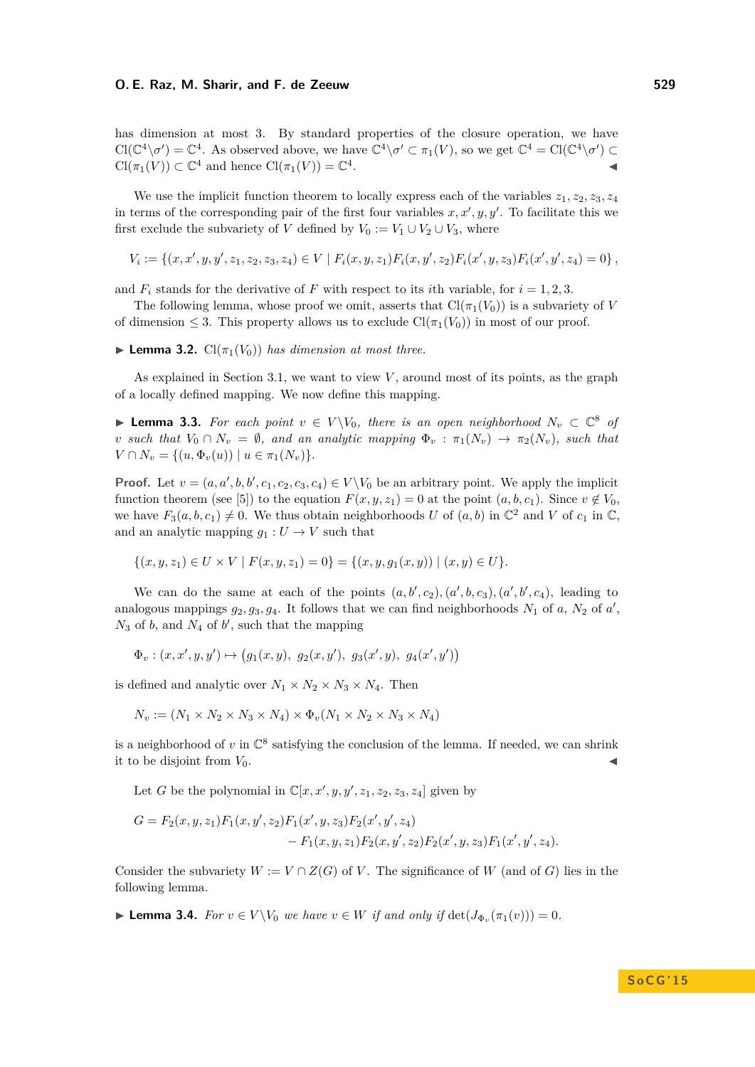has dimension at most 3. By standard properties of the closure operation, we have  $Cl(\mathbb{C}^4 \setminus \sigma') = \mathbb{C}^4$ . As observed above, we have  $\mathbb{C}^4 \setminus \sigma' \subset \pi_1(V)$ , so we get  $\mathbb{C}^4 = Cl(\mathbb{C}^4 \setminus \sigma') \subset$  $Cl(\pi_1(V)) \subset \mathbb{C}^4$  and hence  $Cl(\pi_1(V)) = \mathbb{C}^4$ . John Stein Stein Stein Stein Stein Stein Stein Stein Stein Stein Stein Stein Stein Stein Stein Stein Stein S<br>Die Stein Stein Stein Stein Stein Stein Stein Stein Stein Stein Stein Stein Stein Stein Stein Stein Stein Stei

We use the implicit function theorem to locally express each of the variables  $z_1, z_2, z_3, z_4$ in terms of the corresponding pair of the first four variables  $x, x', y, y'$ . To facilitate this we first exclude the subvariety of *V* defined by  $V_0 := V_1 \cup V_2 \cup V_3$ , where

$$
V_i := \{(x, x', y, y', z_1, z_2, z_3, z_4) \in V \mid F_i(x, y, z_1) F_i(x, y', z_2) F_i(x', y, z_3) F_i(x', y', z_4) = 0\},\
$$

and  $F_i$  stands for the derivative of F with respect to its *i*th variable, for  $i = 1, 2, 3$ .

The following lemma, whose proof we omit, asserts that  $Cl(\pi_1(V_0))$  is a subvariety of *V* of dimension  $\leq$  3. This property allows us to exclude  $\text{Cl}(\pi_1(V_0))$  in most of our proof.

<span id="page-7-2"></span>**Lemma 3.2.**  $Cl(\pi_1(V_0))$  *has dimension at most three.* 

As explained in Section [3.1,](#page-5-1) we want to view *V* , around most of its points, as the graph of a locally defined mapping. We now define this mapping.

<span id="page-7-0"></span>▶ **Lemma 3.3.** For each point  $v \in V \setminus V_0$ , there is an open neighborhood  $N_v \subset \mathbb{C}^8$  of *v such that*  $V_0 \cap N_v = \emptyset$ *, and an analytic mapping*  $\Phi_v : \pi_1(N_v) \to \pi_2(N_v)$ *, such that*  $V \cap N_v = \{(u, \Phi_v(u)) \mid u \in \pi_1(N_v)\}.$ 

**Proof.** Let  $v = (a, a', b, b', c_1, c_2, c_3, c_4) \in V \setminus V_0$  be an arbitrary point. We apply the implicit function theorem (see [\[5\]](#page-14-13)) to the equation  $F(x, y, z_1) = 0$  at the point  $(a, b, c_1)$ . Since  $v \notin V_0$ , we have  $F_3(a, b, c_1) \neq 0$ . We thus obtain neighborhoods *U* of  $(a, b)$  in  $\mathbb{C}^2$  and *V* of  $c_1$  in  $\mathbb{C}$ , and an analytic mapping  $g_1: U \to V$  such that

$$
\{(x, y, z_1) \in U \times V \mid F(x, y, z_1) = 0\} = \{(x, y, g_1(x, y)) \mid (x, y) \in U\}.
$$

We can do the same at each of the points  $(a, b', c_2), (a', b, c_3), (a', b', c_4)$ , leading to analogous mappings  $g_2, g_3, g_4$ . It follows that we can find neighborhoods  $N_1$  of  $a, N_2$  of  $a'$ ,  $N_3$  of  $b$ , and  $N_4$  of  $b'$ , such that the mapping

$$
\Phi_v : (x, x', y, y') \mapsto (g_1(x, y), g_2(x, y'), g_3(x', y), g_4(x', y'))
$$

is defined and analytic over  $N_1 \times N_2 \times N_3 \times N_4$ . Then

$$
N_v := (N_1 \times N_2 \times N_3 \times N_4) \times \Phi_v (N_1 \times N_2 \times N_3 \times N_4)
$$

is a neighborhood of  $v$  in  $\mathbb{C}^8$  satisfying the conclusion of the lemma. If needed, we can shrink it to be disjoint from  $V_0$ .

Let *G* be the polynomial in  $\mathbb{C}[x, x', y, y', z_1, z_2, z_3, z_4]$  given by

$$
G = F_2(x, y, z_1)F_1(x, y', z_2)F_1(x', y, z_3)F_2(x', y', z_4)
$$
  
- F\_1(x, y, z\_1)F\_2(x, y', z\_2)F\_2(x', y, z\_3)F\_1(x', y', z\_4).

Consider the subvariety  $W := V \cap Z(G)$  of *V*. The significance of *W* (and of *G*) lies in the following lemma.

<span id="page-7-1"></span>► **Lemma 3.4.** *For*  $v \in V \setminus V_0$  *we have*  $v \in W$  *if and only if*  $\det(J_{\Phi_v}(\pi_1(v))) = 0$ *.*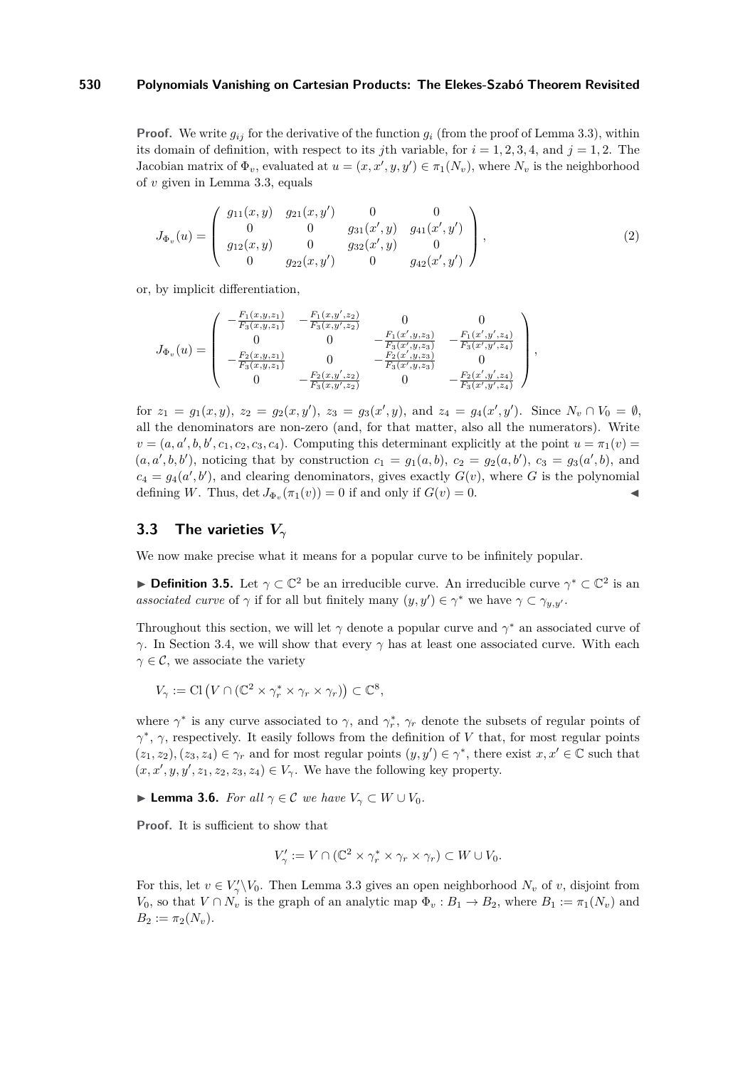**Proof.** We write  $g_{ij}$  for the derivative of the function  $g_i$  (from the proof of Lemma [3.3\)](#page-7-0), within its domain of definition, with respect to its *j*th variable, for  $i = 1, 2, 3, 4$ , and  $j = 1, 2$ . The Jacobian matrix of  $\Phi_v$ , evaluated at  $u = (x, x', y, y') \in \pi_1(N_v)$ , where  $N_v$  is the neighborhood of *v* given in Lemma [3.3,](#page-7-0) equals

$$
J_{\Phi_v}(u) = \begin{pmatrix} g_{11}(x, y) & g_{21}(x, y') & 0 & 0 \\ 0 & 0 & g_{31}(x', y) & g_{41}(x', y') \\ g_{12}(x, y) & 0 & g_{32}(x', y) & 0 \\ 0 & g_{22}(x, y') & 0 & g_{42}(x', y') \end{pmatrix},
$$
(2)

or, by implicit differentiation,

$$
J_{\Phi_v}(u) = \begin{pmatrix} -\frac{F_1(x,y,z_1)}{F_3(x,y,z_1)} & -\frac{F_1(x,y',z_2)}{F_3(x,y',z_2)} & 0 & 0\\ 0 & 0 & -\frac{F_1(x',y,z_3)}{F_3(x',y,z_3)} & -\frac{F_1(x',y',z_4)}{F_3(x',y',z_4)}\\ -\frac{F_2(x,y,z_1)}{F_3(x,y,z_1)} & 0 & -\frac{F_2(x',y,z_3)}{F_3(x',y,z_3)} & 0\\ 0 & -\frac{F_2(x,y',z_2)}{F_3(x,y',z_2)} & 0 & -\frac{F_2(x',y',z_4)}{F_3(x',y',z_4)} \end{pmatrix},
$$

for  $z_1 = g_1(x, y)$ ,  $z_2 = g_2(x, y')$ ,  $z_3 = g_3(x', y)$ , and  $z_4 = g_4(x', y')$ . Since  $N_v \cap V_0 = \emptyset$ , all the denominators are non-zero (and, for that matter, also all the numerators). Write  $v = (a, a', b, b', c_1, c_2, c_3, c_4)$ . Computing this determinant explicitly at the point  $u = \pi_1(v)$  $(a, a', b, b')$ , noticing that by construction  $c_1 = g_1(a, b)$ ,  $c_2 = g_2(a, b')$ ,  $c_3 = g_3(a', b)$ , and  $c_4 = g_4(a', b')$ , and clearing denominators, gives exactly  $G(v)$ , where *G* is the polynomial defining *W*. Thus,  $\det J_{\Phi_v}(\pi_1(v)) = 0$  if and only if  $G(v) = 0$ .

## **3.3 The varieties** *V<sup>γ</sup>*

We now make precise what it means for a popular curve to be infinitely popular.

<span id="page-8-0"></span>**Definition 3.5.** Let  $\gamma \subset \mathbb{C}^2$  be an irreducible curve. An irreducible curve  $\gamma^* \subset \mathbb{C}^2$  is an *associated curve* of  $\gamma$  if for all but finitely many  $(y, y') \in \gamma^*$  we have  $\gamma \subset \gamma_{y,y'}$ .

Throughout this section, we will let  $\gamma$  denote a popular curve and  $\gamma^*$  an associated curve of *γ*. In Section [3.4,](#page-10-0) we will show that every *γ* has at least one associated curve. With each  $\gamma \in \mathcal{C}$ , we associate the variety

$$
V_{\gamma} := \text{Cl}\left(V \cap (\mathbb{C}^2 \times \gamma_r^* \times \gamma_r \times \gamma_r)\right) \subset \mathbb{C}^8,
$$

where  $\gamma^*$  is any curve associated to  $\gamma$ , and  $\gamma^*$ ,  $\gamma_r$  denote the subsets of regular points of *γ* ∗ , *γ*, respectively. It easily follows from the definition of *V* that, for most regular points  $(z_1, z_2), (z_3, z_4) \in \gamma_r$  and for most regular points  $(y, y') \in \gamma^*$ , there exist  $x, x' \in \mathbb{C}$  such that  $(x, x', y, y', z_1, z_2, z_3, z_4) \in V_\gamma$ . We have the following key property.

<span id="page-8-1"></span>**► Lemma 3.6.** *For all*  $\gamma \in \mathcal{C}$  *we have*  $V_{\gamma} \subset W \cup V_0$ *.* 

**Proof.** It is sufficient to show that

$$
V'_{\gamma} := V \cap (\mathbb{C}^2 \times \gamma_r^* \times \gamma_r \times \gamma_r) \subset W \cup V_0.
$$

For this, let  $v \in V'_{\gamma} \backslash V_0$ . Then Lemma [3.3](#page-7-0) gives an open neighborhood  $N_v$  of *v*, disjoint from *V*<sub>0</sub>, so that  $V \cap N_v$  is the graph of an analytic map  $\Phi_v : B_1 \to B_2$ , where  $B_1 := \pi_1(N_v)$  and  $B_2 := \pi_2(N_v).$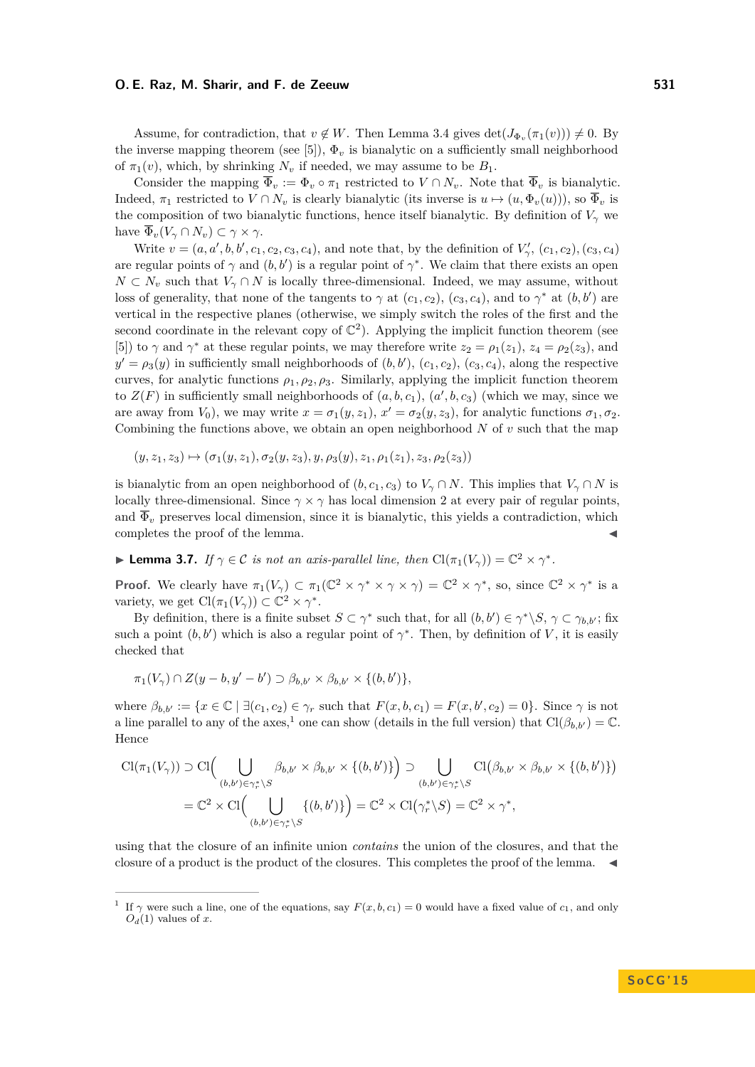Assume, for contradiction, that  $v \notin W$ . Then Lemma [3.4](#page-7-1) gives  $\det(J_{\Phi_v}(\pi_1(v))) \neq 0$ . By the inverse mapping theorem (see [\[5\]](#page-14-13)),  $\Phi_v$  is bianalytic on a sufficiently small neighborhood of  $\pi_1(v)$ , which, by shrinking  $N_v$  if needed, we may assume to be  $B_1$ .

Consider the mapping  $\overline{\Phi}_v := \Phi_v \circ \pi_1$  restricted to  $V \cap N_v$ . Note that  $\overline{\Phi}_v$  is bianalytic. Indeed,  $\pi_1$  restricted to  $V \cap N_v$  is clearly bianalytic (its inverse is  $u \mapsto (u, \Phi_v(u)))$ , so  $\overline{\Phi}_v$  is the composition of two bianalytic functions, hence itself bianalytic. By definition of  $V_\gamma$  we have  $\overline{\Phi}_v(V_\gamma \cap N_v) \subset \gamma \times \gamma$ .

Write  $v = (a, a', b, b', c_1, c_2, c_3, c_4)$ , and note that, by the definition of  $V'_{\gamma}$ ,  $(c_1, c_2)$ ,  $(c_3, c_4)$ are regular points of  $\gamma$  and  $(b, b')$  is a regular point of  $\gamma^*$ . We claim that there exists an open  $N \subset N_v$  such that  $V_\gamma \cap N$  is locally three-dimensional. Indeed, we may assume, without loss of generality, that none of the tangents to  $\gamma$  at  $(c_1, c_2)$ ,  $(c_3, c_4)$ , and to  $\gamma^*$  at  $(b, b')$  are vertical in the respective planes (otherwise, we simply switch the roles of the first and the second coordinate in the relevant copy of  $\mathbb{C}^2$ ). Applying the implicit function theorem (see [\[5\]](#page-14-13)) to  $\gamma$  and  $\gamma^*$  at these regular points, we may therefore write  $z_2 = \rho_1(z_1)$ ,  $z_4 = \rho_2(z_3)$ , and  $y' = \rho_3(y)$  in sufficiently small neighborhoods of  $(b, b')$ ,  $(c_1, c_2)$ ,  $(c_3, c_4)$ , along the respective curves, for analytic functions  $\rho_1, \rho_2, \rho_3$ . Similarly, applying the implicit function theorem to  $Z(F)$  in sufficiently small neighborhoods of  $(a, b, c_1), (a', b, c_3)$  (which we may, since we are away from  $V_0$ ), we may write  $x = \sigma_1(y, z_1)$ ,  $x' = \sigma_2(y, z_3)$ , for analytic functions  $\sigma_1, \sigma_2$ . Combining the functions above, we obtain an open neighborhood *N* of *v* such that the map

$$
(y, z_1, z_3) \mapsto (\sigma_1(y, z_1), \sigma_2(y, z_3), y, \rho_3(y), z_1, \rho_1(z_1), z_3, \rho_2(z_3))
$$

is bianalytic from an open neighborhood of  $(b, c_1, c_3)$  to  $V_\gamma \cap N$ . This implies that  $V_\gamma \cap N$  is locally three-dimensional. Since  $\gamma \times \gamma$  has local dimension 2 at every pair of regular points, and  $\overline{\Phi}_v$  preserves local dimension, since it is bianalytic, this yields a contradiction, which completes the proof of the lemma.

<span id="page-9-1"></span>**I Lemma 3.7.** *If*  $\gamma \in \mathcal{C}$  *is not an axis-parallel line, then*  $\text{Cl}(\pi_1(V_\gamma)) = \mathbb{C}^2 \times \gamma^*$ *.* 

**Proof.** We clearly have  $\pi_1(V_\gamma) \subset \pi_1(\mathbb{C}^2 \times \gamma^* \times \gamma \times \gamma) = \mathbb{C}^2 \times \gamma^*$ , so, since  $\mathbb{C}^2 \times \gamma^*$  is a variety, we get  $\text{Cl}(\pi_1(V_\gamma)) \subset \mathbb{C}^2 \times \gamma^*$ .

By definition, there is a finite subset  $S \subset \gamma^*$  such that, for all  $(b, b') \in \gamma^* \backslash S$ ,  $\gamma \subset \gamma_{b,b'}$ ; fix such a point  $(b, b')$  which is also a regular point of  $\gamma^*$ . Then, by definition of *V*, it is easily checked that

$$
\pi_1(V_\gamma) \cap Z(y-b, y'-b') \supset \beta_{b,b'} \times \beta_{b,b'} \times \{(b,b')\},\
$$

where  $\beta_{b,b'} := \{x \in \mathbb{C} \mid \exists (c_1, c_2) \in \gamma_r \text{ such that } F(x, b, c_1) = F(x, b', c_2) = 0\}.$  Since  $\gamma$  is not a line parallel to any of the axes,<sup>[1](#page-9-0)</sup> one can show (details in the full version) that  $\text{Cl}(\beta_{b,b'}) = \mathbb{C}$ . Hence

$$
\mathrm{Cl}(\pi_1(V_\gamma)) \supset \mathrm{Cl}\Big(\bigcup_{(b,b')\in\gamma_r^*\setminus S}\beta_{b,b'} \times \beta_{b,b'} \times \{(b,b')\}\Big) \supset \bigcup_{(b,b')\in\gamma_r^*\setminus S}\mathrm{Cl}\big(\beta_{b,b'} \times \beta_{b,b'} \times \{(b,b')\}\big)
$$

$$
= \mathbb{C}^2 \times \mathrm{Cl}\Big(\bigcup_{(b,b')\in\gamma_r^*\setminus S}\{(b,b')\}\Big) = \mathbb{C}^2 \times \mathrm{Cl}\big(\gamma_r^*\setminus S\big) = \mathbb{C}^2 \times \gamma^*,
$$

using that the closure of an infinite union *contains* the union of the closures, and that the closure of a product is the product of the closures. This completes the proof of the lemma. J

<span id="page-9-0"></span><sup>&</sup>lt;sup>1</sup> If  $\gamma$  were such a line, one of the equations, say  $F(x, b, c_1) = 0$  would have a fixed value of  $c_1$ , and only  $O_d(1)$  values of x.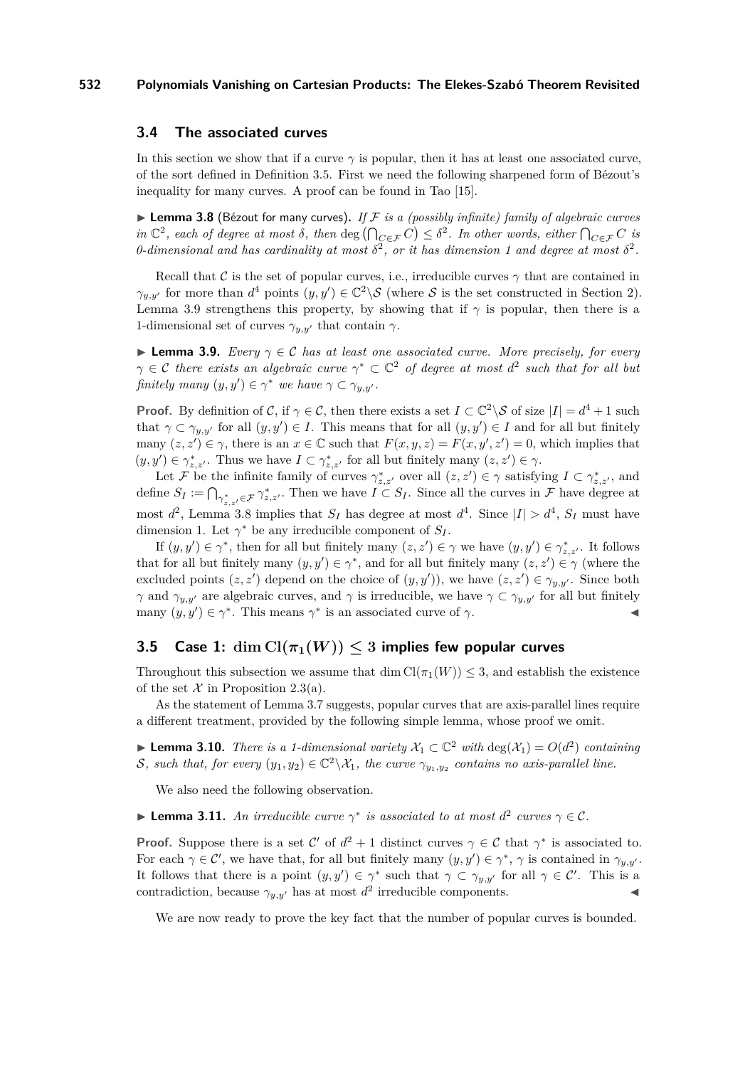## <span id="page-10-0"></span>**3.4 The associated curves**

In this section we show that if a curve  $\gamma$  is popular, then it has at least one associated curve, of the sort defined in Definition [3.5.](#page-8-0) First we need the following sharpened form of Bézout's inequality for many curves. A proof can be found in Tao [\[15\]](#page-14-14).

<span id="page-10-2"></span> $\blacktriangleright$  **Lemma 3.8** (Bézout for many curves). If F is a (possibly infinite) family of algebraic curves  $\int \int_C$  *in*  $\mathbb{C}^2$ *, each of degree at most*  $\delta$ *, then* deg  $\left(\bigcap_{C \in \mathcal{F}} C\right) \leq \delta^2$ *. In other words, either*  $\bigcap_{C \in \mathcal{F}} C$  *is 0*-dimensional and has cardinality at most  $\delta^2$ , or it has dimension 1 and degree at most  $\delta^2$ .

Recall that C is the set of popular curves, i.e., irreducible curves  $\gamma$  that are contained in  $\gamma_{y,y'}$  for more than  $d^4$  points  $(y, y') \in \mathbb{C}^2 \backslash S$  (where S is the set constructed in Section [2\)](#page-3-2). Lemma [3.9](#page-10-1) strengthens this property, by showing that if  $\gamma$  is popular, then there is a 1-dimensional set of curves  $\gamma_{y,y'}$  that contain  $\gamma$ .

<span id="page-10-1"></span>**Lemma 3.9.** *Every*  $\gamma \in \mathcal{C}$  *has at least one associated curve. More precisely, for every*  $\gamma \in \mathcal{C}$  there exists an algebraic curve  $\gamma^* \subset \mathbb{C}^2$  of degree at most  $d^2$  such that for all but *finitely many*  $(y, y') \in \gamma^*$  *we have*  $\gamma \subset \gamma_{y,y'}$ *.* 

**Proof.** By definition of C, if  $\gamma \in C$ , then there exists a set  $I \subset \mathbb{C}^2 \setminus S$  of size  $|I| = d^4 + 1$  such that  $\gamma \subset \gamma_{y,y'}$  for all  $(y, y') \in I$ . This means that for all  $(y, y') \in I$  and for all but finitely many  $(z, z') \in \gamma$ , there is an  $x \in \mathbb{C}$  such that  $F(x, y, z) = F(x, y', z') = 0$ , which implies that  $(y, y') \in \gamma_{z, z'}^*$ . Thus we have  $I \subset \gamma_{z, z'}^*$  for all but finitely many  $(z, z') \in \gamma$ .

Let F be the infinite family of curves  $\gamma_{z,z'}^*$  over all  $(z, z') \in \gamma$  satisfying  $I \subset \gamma_{z,z'}^*$ , and define  $S_I := \bigcap_{\gamma^*_{z,z'} \in \mathcal{F}} \gamma^*_{z,z'}$ . Then we have  $I \subset S_I$ . Since all the curves in  $\mathcal{F}$  have degree at most  $d^2$ , Lemma [3.8](#page-10-2) implies that  $S_I$  has degree at most  $d^4$ . Since  $|I| > d^4$ ,  $S_I$  must have dimension 1. Let  $\gamma^*$  be any irreducible component of  $S_I$ .

If  $(y, y') \in \gamma^*$ , then for all but finitely many  $(z, z') \in \gamma$  we have  $(y, y') \in \gamma^*_{z, z'}$ . It follows that for all but finitely many  $(y, y') \in \gamma^*$ , and for all but finitely many  $(z, z') \in \gamma$  (where the excluded points  $(z, z')$  depend on the choice of  $(y, y')$ , we have  $(z, z') \in \gamma_{y,y'}$ . Since both *γ* and  $\gamma_{y,y'}$  are algebraic curves, and *γ* is irreducible, we have  $\gamma \subset \gamma_{y,y'}$  for all but finitely many  $(y, y') \in \gamma^*$ . This means  $\gamma^*$  is an associated curve of  $\gamma$ .

## **3.5** Case 1:  $\dim Cl(\pi_1(W)) \leq 3$  implies few popular curves

Throughout this subsection we assume that dim  $Cl(\pi_1(W)) \leq 3$ , and establish the existence of the set  $\mathcal X$  in Proposition [2.3\(](#page-4-0)a).

As the statement of Lemma [3.7](#page-9-1) suggests, popular curves that are axis-parallel lines require a different treatment, provided by the following simple lemma, whose proof we omit.

<span id="page-10-4"></span>► **Lemma 3.10.** *There is a 1-dimensional variety*  $X_1 \subset \mathbb{C}^2$  *with*  $\deg(X_1) = O(d^2)$  *containing* S, such that, for every  $(y_1, y_2) \in \mathbb{C}^2 \backslash \mathcal{X}_1$ , the curve  $\gamma_{y_1, y_2}$  contains no axis-parallel line.

We also need the following observation.

<span id="page-10-3"></span>**Example 1.1.** An irreducible curve  $\gamma^*$  is associated to at most  $d^2$  curves  $\gamma \in \mathcal{C}$ .

**Proof.** Suppose there is a set C' of  $d^2 + 1$  distinct curves  $\gamma \in C$  that  $\gamma^*$  is associated to. For each  $\gamma \in \mathcal{C}'$ , we have that, for all but finitely many  $(y, y') \in \gamma^*$ ,  $\gamma$  is contained in  $\gamma_{y,y'}$ . It follows that there is a point  $(y, y') \in \gamma^*$  such that  $\gamma \subset \gamma_{y,y'}$  for all  $\gamma \in \mathcal{C}'$ . This is a contradiction, because  $\gamma_{y,y'}$  has at most  $d^2$  irreducible components.

We are now ready to prove the key fact that the number of popular curves is bounded.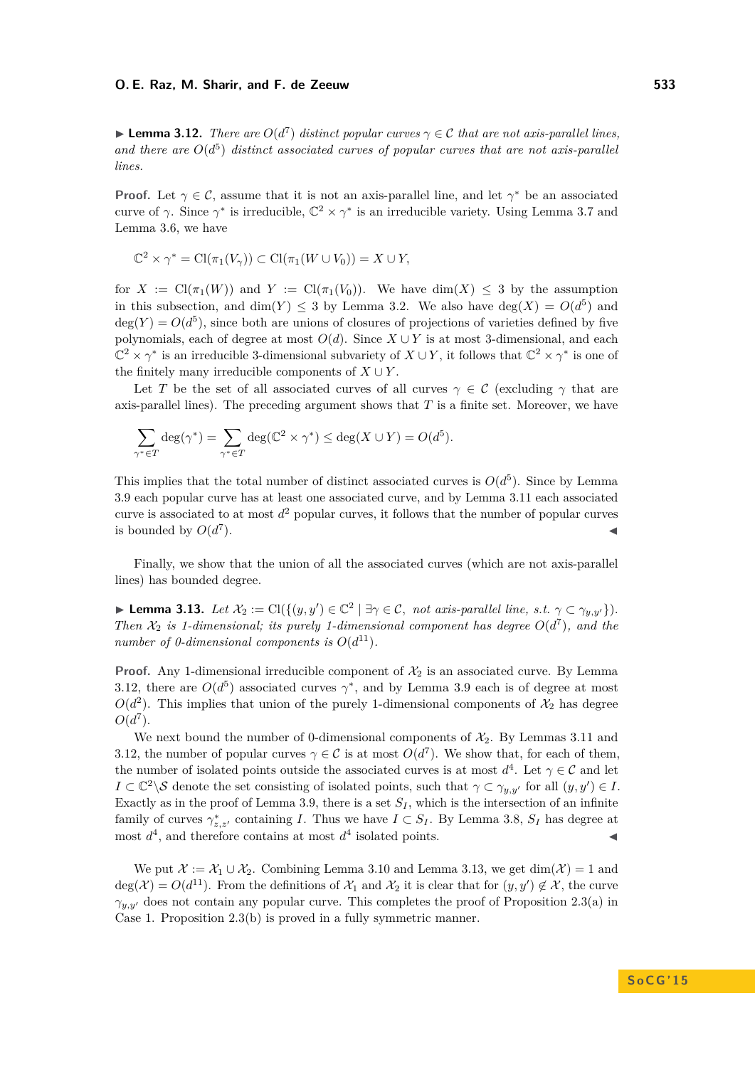<span id="page-11-0"></span>**Example 12.** *Phere are* $O(d^7)$ *distinct popular curves* $\gamma \in \mathcal{C}$ *that are not axis-parallel lines,* and there are  $O(d^5)$  distinct associated curves of popular curves that are not axis-parallel *lines.*

**Proof.** Let  $\gamma \in \mathcal{C}$ , assume that it is not an axis-parallel line, and let  $\gamma^*$  be an associated curve of  $\gamma$ . Since  $\gamma^*$  is irreducible,  $\mathbb{C}^2 \times \gamma^*$  is an irreducible variety. Using Lemma [3.7](#page-9-1) and Lemma [3.6,](#page-8-1) we have

$$
\mathbb{C}^2 \times \gamma^* = \text{Cl}(\pi_1(V_{\gamma})) \subset \text{Cl}(\pi_1(W \cup V_0)) = X \cup Y,
$$

for  $X := \text{Cl}(\pi_1(W))$  and  $Y := \text{Cl}(\pi_1(V_0))$ . We have dim(X)  $\leq 3$  by the assumption in this subsection, and  $dim(Y) \leq 3$  by Lemma [3.2.](#page-7-2) We also have  $deg(X) = O(d^5)$  and  $deg(Y) = O(d^5)$ , since both are unions of closures of projections of varieties defined by five polynomials, each of degree at most  $O(d)$ . Since  $X \cup Y$  is at most 3-dimensional, and each  $\mathbb{C}^2 \times \gamma^*$  is an irreducible 3-dimensional subvariety of  $X \cup Y$ , it follows that  $\mathbb{C}^2 \times \gamma^*$  is one of the finitely many irreducible components of  $X \cup Y$ .

Let *T* be the set of all associated curves of all curves  $\gamma \in \mathcal{C}$  (excluding  $\gamma$  that are axis-parallel lines). The preceding argument shows that *T* is a finite set. Moreover, we have

$$
\sum_{\gamma^* \in T} \deg(\gamma^*) = \sum_{\gamma^* \in T} \deg(\mathbb{C}^2 \times \gamma^*) \le \deg(X \cup Y) = O(d^5).
$$

This implies that the total number of distinct associated curves is  $O(d^5)$ . Since by Lemma [3.9](#page-10-1) each popular curve has at least one associated curve, and by Lemma [3.11](#page-10-3) each associated curve is associated to at most  $d^2$  popular curves, it follows that the number of popular curves is bounded by  $O(d^7)$  $\blacksquare$ ).

Finally, we show that the union of all the associated curves (which are not axis-parallel lines) has bounded degree.

<span id="page-11-1"></span>► **Lemma 3.13.** *Let*  $\mathcal{X}_2 := \text{Cl}(\{(y, y') \in \mathbb{C}^2 \mid \exists \gamma \in \mathcal{C}, \text{ not axis-parallel line, s.t. } \gamma \subset \gamma_{y,y'}\}).$ *Then*  $\mathcal{X}_2$  *is 1-dimensional; its purely 1-dimensional component has degree*  $O(d^7)$ *, and the number of 0-dimensional components is*  $O(d^{11})$ *.* 

**Proof.** Any 1-dimensional irreducible component of  $\mathcal{X}_2$  is an associated curve. By Lemma [3.12,](#page-11-0) there are  $O(d^5)$  associated curves  $\gamma^*$ , and by Lemma [3.9](#page-10-1) each is of degree at most  $O(d^2)$ . This implies that union of the purely 1-dimensional components of  $\mathcal{X}_2$  has degree  $O(d^7)$ .

We next bound the number of 0-dimensional components of  $\mathcal{X}_2$ . By Lemmas [3.11](#page-10-3) and [3.12,](#page-11-0) the number of popular curves  $\gamma \in \mathcal{C}$  is at most  $O(d^7)$ . We show that, for each of them, the number of isolated points outside the associated curves is at most  $d^4$ . Let  $\gamma \in \mathcal{C}$  and let  $I \subset \mathbb{C}^2 \backslash \mathcal{S}$  denote the set consisting of isolated points, such that  $\gamma \subset \gamma_{y,y'}$  for all  $(y, y') \in I$ . Exactly as in the proof of Lemma [3.9,](#page-10-1) there is a set  $S_I$ , which is the intersection of an infinite family of curves  $\gamma_{z,z'}^*$  containing *I*. Thus we have  $I \subset S_I$ . By Lemma [3.8,](#page-10-2)  $S_I$  has degree at most  $d^4$ , and therefore contains at most  $d^4$  isolated points.

We put  $\mathcal{X} := \mathcal{X}_1 \cup \mathcal{X}_2$ . Combining Lemma [3.10](#page-10-4) and Lemma [3.13,](#page-11-1) we get  $\dim(\mathcal{X}) = 1$  and  $deg(\mathcal{X}) = O(d^{11})$ . From the definitions of  $\mathcal{X}_1$  and  $\mathcal{X}_2$  it is clear that for  $(y, y') \notin \mathcal{X}$ , the curve  $\gamma_{y,y'}$  does not contain any popular curve. This completes the proof of Proposition [2.3\(](#page-4-0)a) in Case 1. Proposition [2.3\(](#page-4-0)b) is proved in a fully symmetric manner.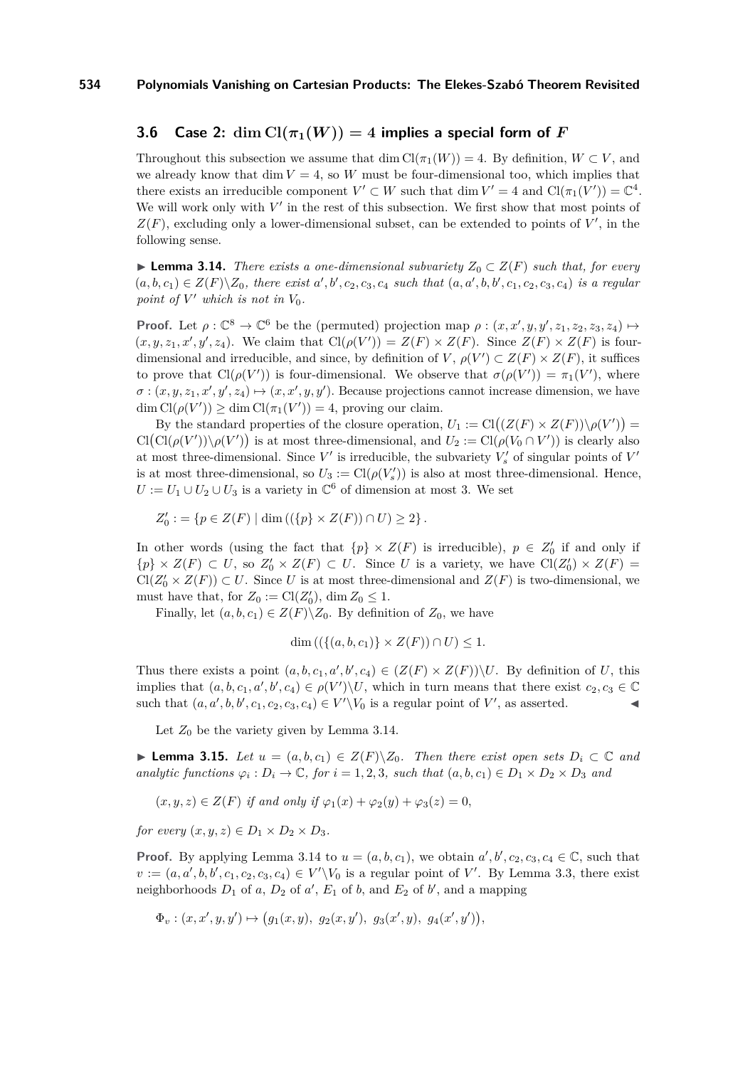## **3.6** Case 2:  $\dim \mathrm{Cl}(\pi_1(W)) = 4$  implies a special form of F

Throughout this subsection we assume that dim  $Cl(\pi_1(W)) = 4$ . By definition,  $W \subset V$ , and we already know that  $\dim V = 4$ , so W must be four-dimensional too, which implies that there exists an irreducible component  $V' \subset W$  such that dim  $V' = 4$  and  $Cl(\pi_1(V')) = \mathbb{C}^4$ . We will work only with  $V'$  in the rest of this subsection. We first show that most points of  $Z(F)$ , excluding only a lower-dimensional subset, can be extended to points of  $V'$ , in the following sense.

<span id="page-12-0"></span>▶ **Lemma 3.14.** *There exists a one-dimensional subvariety*  $Z_0 \subset Z(F)$  *such that, for every*  $(a, b, c_1) \in Z(F) \backslash Z_0$ , there exist a', b', c<sub>2</sub>, c<sub>3</sub>, c<sub>4</sub> such that  $(a, a', b, b', c_1, c_2, c_3, c_4)$  is a regular *point of*  $V'$  *which is not in*  $V_0$ *.* 

**Proof.** Let  $\rho: \mathbb{C}^8 \to \mathbb{C}^6$  be the (permuted) projection map  $\rho: (x, x', y, y', z_1, z_2, z_3, z_4) \mapsto$  $(x, y, z_1, x', y', z_4)$ . We claim that  $\text{Cl}(\rho(V')) = Z(F) \times Z(F)$ . Since  $Z(F) \times Z(F)$  is fourdimensional and irreducible, and since, by definition of *V*,  $\rho(V') \subset Z(F) \times Z(F)$ , it suffices to prove that  $Cl(\rho(V'))$  is four-dimensional. We observe that  $\sigma(\rho(V')) = \pi_1(V')$ , where  $\sigma$ :  $(x, y, z_1, x', y', z_4) \mapsto (x, x', y, y')$ . Because projections cannot increase dimension, we have  $\dim Cl(\rho(V')) \geq \dim Cl(\pi_1(V')) = 4$ , proving our claim.

By the standard properties of the closure operation,  $U_1 := \text{Cl}((Z(F) \times Z(F)) \setminus \rho(V'))$  $Cl(Cl(\rho(V'))\setminus\rho(V'))$  is at most three-dimensional, and  $U_2 := Cl(\rho(V_0 \cap V'))$  is clearly also at most three-dimensional. Since  $V'$  is irreducible, the subvariety  $V'_{s}$  of singular points of  $V'$ is at most three-dimensional, so  $U_3 := \text{Cl}(\rho(V_s))$  is also at most three-dimensional. Hence,  $U := U_1 \cup U_2 \cup U_3$  is a variety in  $\mathbb{C}^6$  of dimension at most 3. We set

$$
Z'_0 := \{ p \in Z(F) \mid \dim ((\{p\} \times Z(F)) \cap U) \geq 2 \}.
$$

In other words (using the fact that  $\{p\} \times Z(F)$  is irreducible),  $p \in Z'_0$  if and only if  $\{p\} \times Z(F) \subset U$ , so  $Z'_0 \times Z(F) \subset U$ . Since *U* is a variety, we have  $Cl(Z'_0) \times Z(F)$  $Cl(Z'_0 \times Z(F)) \subset U$ . Since *U* is at most three-dimensional and  $Z(F)$  is two-dimensional, we must have that, for  $Z_0 := \text{Cl}(Z'_0)$ , dim  $Z_0 \leq 1$ .

Finally, let  $(a, b, c_1) \in Z(F) \backslash Z_0$ . By definition of  $Z_0$ , we have

$$
\dim\left(\left(\{(a,b,c_1)\}\times Z(F)\right)\cap U\right)\leq 1.
$$

Thus there exists a point  $(a, b, c_1, a', b', c_4) \in (Z(F) \times Z(F)) \backslash U$ . By definition of *U*, this implies that  $(a, b, c_1, a', b', c_4) \in \rho(V') \backslash U$ , which in turn means that there exist  $c_2, c_3 \in \mathbb{C}$ such that  $(a, a', b, b', c_1, c_2, c_3, c_4) \in V' \backslash V_0$  is a regular point of *V*', as asserted.

Let  $Z_0$  be the variety given by Lemma [3.14.](#page-12-0)

<span id="page-12-1"></span>**► Lemma 3.15.** Let  $u = (a, b, c_1) \in Z(F) \setminus Z_0$ . Then there exist open sets  $D_i \subset \mathbb{C}$  and *analytic functions*  $\varphi_i : D_i \to \mathbb{C}$ *, for*  $i = 1, 2, 3$ *, such that*  $(a, b, c_1) \in D_1 \times D_2 \times D_3$  *and* 

$$
(x, y, z) \in Z(F)
$$
 if and only if  $\varphi_1(x) + \varphi_2(y) + \varphi_3(z) = 0$ ,

*for every*  $(x, y, z) \in D_1 \times D_2 \times D_3$ .

**Proof.** By applying Lemma [3.14](#page-12-0) to  $u = (a, b, c_1)$ , we obtain  $a', b', c_2, c_3, c_4 \in \mathbb{C}$ , such that  $v := (a, a', b, b', c_1, c_2, c_3, c_4) \in V' \backslash V_0$  is a regular point of *V*'. By Lemma [3.3,](#page-7-0) there exist neighborhoods  $D_1$  of  $a$ ,  $D_2$  of  $a'$ ,  $E_1$  of  $b$ , and  $E_2$  of  $b'$ , and a mapping

$$
\Phi_v : (x, x', y, y') \mapsto (g_1(x, y), g_2(x, y'), g_3(x', y), g_4(x', y')),
$$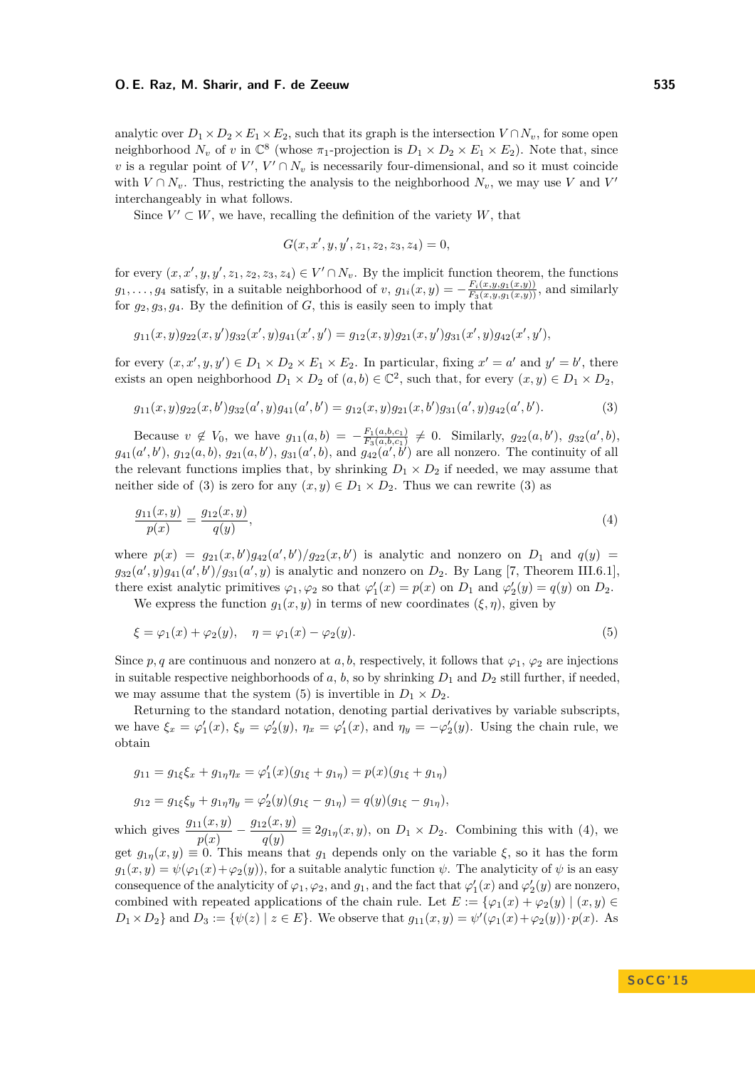analytic over  $D_1 \times D_2 \times E_1 \times E_2$ , such that its graph is the intersection  $V \cap N_v$ , for some open neighborhood  $N_v$  of *v* in  $\mathbb{C}^8$  (whose  $\pi_1$ -projection is  $D_1 \times D_2 \times E_1 \times E_2$ ). Note that, since *v* is a regular point of  $V'$ ,  $V' \cap N_v$  is necessarily four-dimensional, and so it must coincide with  $V \cap N_v$ . Thus, restricting the analysis to the neighborhood  $N_v$ , we may use *V* and *V*<sup>*'*</sup> interchangeably in what follows.

Since  $V' \subset W$ , we have, recalling the definition of the variety  $W$ , that

<span id="page-13-2"></span><span id="page-13-0"></span>
$$
G(x, x', y, y', z_1, z_2, z_3, z_4) = 0,
$$

for every  $(x, x', y, y', z_1, z_2, z_3, z_4) \in V' \cap N_v$ . By the implicit function theorem, the functions  $g_1, \ldots, g_4$  satisfy, in a suitable neighborhood of *v*,  $g_{1i}(x, y) = -\frac{F_i(x, y, g_1(x, y))}{F_3(x, y, g_1(x, y))}$ , and similarly for  $g_2, g_3, g_4$ . By the definition of  $G$ , this is easily seen to imply that

$$
g_{11}(x,y)g_{22}(x,y')g_{32}(x',y)g_{41}(x',y') = g_{12}(x,y)g_{21}(x,y')g_{31}(x',y)g_{42}(x',y'),
$$

for every  $(x, x', y, y') \in D_1 \times D_2 \times E_1 \times E_2$ . In particular, fixing  $x' = a'$  and  $y' = b'$ , there exists an open neighborhood  $D_1 \times D_2$  of  $(a, b) \in \mathbb{C}^2$ , such that, for every  $(x, y) \in D_1 \times D_2$ ,

$$
g_{11}(x,y)g_{22}(x,b')g_{32}(a',y)g_{41}(a',b') = g_{12}(x,y)g_{21}(x,b')g_{31}(a',y)g_{42}(a',b').
$$
\n(3)

Because  $v \notin V_0$ , we have  $g_{11}(a, b) = -\frac{F_1(a, b, c_1)}{F_2(a, b, c_1)}$  $\frac{F_1(a,b,c_1)}{F_3(a,b,c_1)} \neq 0$ . Similarly,  $g_{22}(a,b')$ ,  $g_{32}(a',b)$ ,  $g_{41}(a',b')$ ,  $g_{12}(a,b)$ ,  $g_{21}(a,b')$ ,  $g_{31}(a',b)$ , and  $g_{42}(a',b')$  are all nonzero. The continuity of all the relevant functions implies that, by shrinking  $D_1 \times D_2$  if needed, we may assume that neither side of [\(3\)](#page-13-0) is zero for any  $(x, y) \in D_1 \times D_2$ . Thus we can rewrite (3) as

$$
\frac{g_{11}(x,y)}{p(x)} = \frac{g_{12}(x,y)}{q(y)},
$$
\n(4)

where  $p(x) = g_{21}(x, b')g_{42}(a', b')/g_{22}(x, b')$  is analytic and nonzero on  $D_1$  and  $q(y)$  $g_{32}(a', y)g_{41}(a', b')/g_{31}(a', y)$  is analytic and nonzero on  $D_2$ . By Lang [\[7,](#page-14-15) Theorem III.6.1], there exist analytic primitives  $\varphi_1, \varphi_2$  so that  $\varphi'_1(x) = p(x)$  on  $D_1$  and  $\varphi'_2(y) = q(y)$  on  $D_2$ .

<span id="page-13-1"></span>We express the function  $g_1(x, y)$  in terms of new coordinates  $(\xi, \eta)$ , given by

$$
\xi = \varphi_1(x) + \varphi_2(y), \quad \eta = \varphi_1(x) - \varphi_2(y). \tag{5}
$$

Since *p, q* are continuous and nonzero at *a, b,* respectively, it follows that  $\varphi_1$ ,  $\varphi_2$  are injections in suitable respective neighborhoods of *a*, *b*, so by shrinking  $D_1$  and  $D_2$  still further, if needed, we may assume that the system [\(5\)](#page-13-1) is invertible in  $D_1 \times D_2$ .

Returning to the standard notation, denoting partial derivatives by variable subscripts, we have  $\xi_x = \varphi_1'(x)$ ,  $\xi_y = \varphi_2'(y)$ ,  $\eta_x = \varphi_1'(x)$ , and  $\eta_y = -\varphi_2'(y)$ . Using the chain rule, we obtain

$$
g_{11} = g_{1\xi} \xi_x + g_{1\eta} \eta_x = \varphi_1'(x)(g_{1\xi} + g_{1\eta}) = p(x)(g_{1\xi} + g_{1\eta})
$$

$$
g_{12} = g_{1\xi} \xi_y + g_{1\eta} \eta_y = \varphi_2'(y) (g_{1\xi} - g_{1\eta}) = q(y) (g_{1\xi} - g_{1\eta}),
$$

which gives  $\frac{g_{11}(x,y)}{p(x)} - \frac{g_{12}(x,y)}{q(y)}$  $\frac{q(y)}{q(y)} \equiv 2g_{1\eta}(x, y)$ , on  $D_1 \times D_2$ . Combining this with [\(4\)](#page-13-2), we get  $g_{1n}(x, y) \equiv 0$ . This means that  $g_1$  depends only on the variable  $\xi$ , so it has the form  $g_1(x, y) = \psi(\varphi_1(x) + \varphi_2(y))$ , for a suitable analytic function  $\psi$ . The analyticity of  $\psi$  is an easy consequence of the analyticity of  $\varphi_1, \varphi_2$ , and  $g_1$ , and the fact that  $\varphi'_1(x)$  and  $\varphi'_2(y)$  are nonzero, combined with repeated applications of the chain rule. Let  $E := \{ \varphi_1(x) + \varphi_2(y) \mid (x, y) \in$  $D_1 \times D_2$  and  $D_3 := \{ \psi(z) \mid z \in E \}$ . We observe that  $g_{11}(x, y) = \psi'(\varphi_1(x) + \varphi_2(y)) \cdot p(x)$ . As